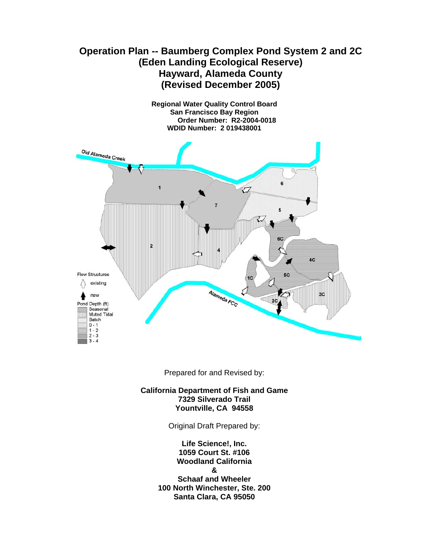# **Operation Plan -- Baumberg Complex Pond System 2 and 2C (Eden Landing Ecological Reserve) Hayward, Alameda County (Revised December 2005)**

**Regional Water Quality Control Board San Francisco Bay Region Order Number: R2-2004-0018 WDID Number: 2 019438001** 



Prepared for and Revised by:

**California Department of Fish and Game 7329 Silverado Trail Yountville, CA 94558** 

Original Draft Prepared by:

**Life Science!, Inc. 1059 Court St. #106 Woodland California & Schaaf and Wheeler 100 North Winchester, Ste. 200 Santa Clara, CA 95050**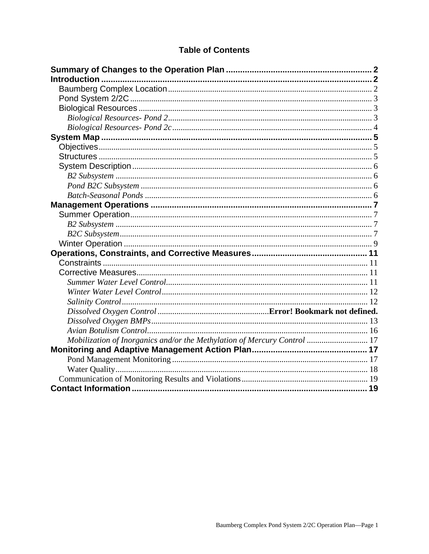# **Table of Contents**

| Mobilization of Inorganics and/or the Methylation of Mercury Control  17 |  |
|--------------------------------------------------------------------------|--|
|                                                                          |  |
|                                                                          |  |
|                                                                          |  |
|                                                                          |  |
|                                                                          |  |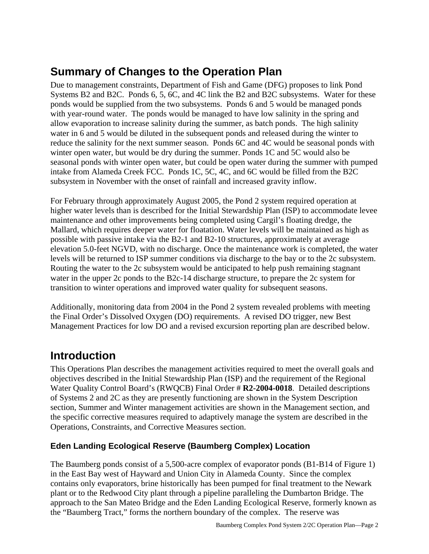# **Summary of Changes to the Operation Plan**

Due to management constraints, Department of Fish and Game (DFG) proposes to link Pond Systems B2 and B2C. Ponds 6, 5, 6C, and 4C link the B2 and B2C subsystems. Water for these ponds would be supplied from the two subsystems. Ponds 6 and 5 would be managed ponds with year-round water. The ponds would be managed to have low salinity in the spring and allow evaporation to increase salinity during the summer, as batch ponds. The high salinity water in 6 and 5 would be diluted in the subsequent ponds and released during the winter to reduce the salinity for the next summer season. Ponds 6C and 4C would be seasonal ponds with winter open water, but would be dry during the summer. Ponds 1C and 5C would also be seasonal ponds with winter open water, but could be open water during the summer with pumped intake from Alameda Creek FCC. Ponds 1C, 5C, 4C, and 6C would be filled from the B2C subsystem in November with the onset of rainfall and increased gravity inflow.

For February through approximately August 2005, the Pond 2 system required operation at higher water levels than is described for the Initial Stewardship Plan (ISP) to accommodate levee maintenance and other improvements being completed using Cargil's floating dredge, the Mallard, which requires deeper water for floatation. Water levels will be maintained as high as possible with passive intake via the B2-1 and B2-10 structures, approximately at average elevation 5.0-feet NGVD, with no discharge. Once the maintenance work is completed, the water levels will be returned to ISP summer conditions via discharge to the bay or to the 2c subsystem. Routing the water to the 2c subsystem would be anticipated to help push remaining stagnant water in the upper 2c ponds to the B2c-14 discharge structure, to prepare the 2c system for transition to winter operations and improved water quality for subsequent seasons.

Additionally, monitoring data from 2004 in the Pond 2 system revealed problems with meeting the Final Order's Dissolved Oxygen (DO) requirements. A revised DO trigger, new Best Management Practices for low DO and a revised excursion reporting plan are described below.

# **Introduction**

This Operations Plan describes the management activities required to meet the overall goals and objectives described in the Initial Stewardship Plan (ISP) and the requirement of the Regional Water Quality Control Board's (RWQCB) Final Order # **R2-2004-0018**. Detailed descriptions of Systems 2 and 2C as they are presently functioning are shown in the System Description section, Summer and Winter management activities are shown in the Management section, and the specific corrective measures required to adaptively manage the system are described in the Operations, Constraints, and Corrective Measures section.

## **Eden Landing Ecological Reserve (Baumberg Complex) Location**

The Baumberg ponds consist of a 5,500-acre complex of evaporator ponds (B1-B14 of Figure 1) in the East Bay west of Hayward and Union City in Alameda County. Since the complex contains only evaporators, brine historically has been pumped for final treatment to the Newark plant or to the Redwood City plant through a pipeline paralleling the Dumbarton Bridge. The approach to the San Mateo Bridge and the Eden Landing Ecological Reserve, formerly known as the "Baumberg Tract," forms the northern boundary of the complex. The reserve was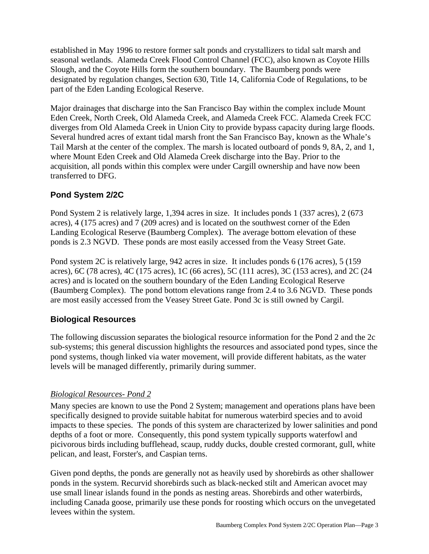established in May 1996 to restore former salt ponds and crystallizers to tidal salt marsh and seasonal wetlands. Alameda Creek Flood Control Channel (FCC), also known as Coyote Hills Slough, and the Coyote Hills form the southern boundary. The Baumberg ponds were designated by regulation changes, Section 630, Title 14, California Code of Regulations, to be part of the Eden Landing Ecological Reserve.

Major drainages that discharge into the San Francisco Bay within the complex include Mount Eden Creek, North Creek, Old Alameda Creek, and Alameda Creek FCC. Alameda Creek FCC diverges from Old Alameda Creek in Union City to provide bypass capacity during large floods. Several hundred acres of extant tidal marsh front the San Francisco Bay, known as the Whale's Tail Marsh at the center of the complex. The marsh is located outboard of ponds 9, 8A, 2, and 1, where Mount Eden Creek and Old Alameda Creek discharge into the Bay. Prior to the acquisition, all ponds within this complex were under Cargill ownership and have now been transferred to DFG.

### **Pond System 2/2C**

Pond System 2 is relatively large, 1,394 acres in size. It includes ponds 1 (337 acres), 2 (673 acres), 4 (175 acres) and 7 (209 acres) and is located on the southwest corner of the Eden Landing Ecological Reserve (Baumberg Complex). The average bottom elevation of these ponds is 2.3 NGVD. These ponds are most easily accessed from the Veasy Street Gate.

Pond system 2C is relatively large, 942 acres in size. It includes ponds 6 (176 acres), 5 (159 acres), 6C (78 acres), 4C (175 acres), 1C (66 acres), 5C (111 acres), 3C (153 acres), and 2C (24 acres) and is located on the southern boundary of the Eden Landing Ecological Reserve (Baumberg Complex). The pond bottom elevations range from 2.4 to 3.6 NGVD. These ponds are most easily accessed from the Veasey Street Gate. Pond 3c is still owned by Cargil.

### **Biological Resources**

The following discussion separates the biological resource information for the Pond 2 and the 2c sub-systems; this general discussion highlights the resources and associated pond types, since the pond systems, though linked via water movement, will provide different habitats, as the water levels will be managed differently, primarily during summer.

### *Biological Resources- Pond 2*

Many species are known to use the Pond 2 System; management and operations plans have been specifically designed to provide suitable habitat for numerous waterbird species and to avoid impacts to these species. The ponds of this system are characterized by lower salinities and pond depths of a foot or more. Consequently, this pond system typically supports waterfowl and picivorous birds including bufflehead, scaup, ruddy ducks, double crested cormorant, gull, white pelican, and least, Forster's, and Caspian terns.

Given pond depths, the ponds are generally not as heavily used by shorebirds as other shallower ponds in the system. Recurvid shorebirds such as black-necked stilt and American avocet may use small linear islands found in the ponds as nesting areas. Shorebirds and other waterbirds, including Canada goose, primarily use these ponds for roosting which occurs on the unvegetated levees within the system.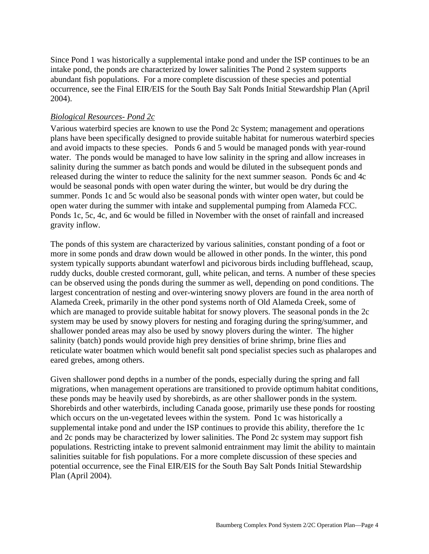Since Pond 1 was historically a supplemental intake pond and under the ISP continues to be an intake pond, the ponds are characterized by lower salinities The Pond 2 system supports abundant fish populations. For a more complete discussion of these species and potential occurrence, see the Final EIR/EIS for the South Bay Salt Ponds Initial Stewardship Plan (April 2004).

### *Biological Resources- Pond 2c*

Various waterbird species are known to use the Pond 2c System; management and operations plans have been specifically designed to provide suitable habitat for numerous waterbird species and avoid impacts to these species. Ponds 6 and 5 would be managed ponds with year-round water. The ponds would be managed to have low salinity in the spring and allow increases in salinity during the summer as batch ponds and would be diluted in the subsequent ponds and released during the winter to reduce the salinity for the next summer season. Ponds 6c and 4c would be seasonal ponds with open water during the winter, but would be dry during the summer. Ponds 1c and 5c would also be seasonal ponds with winter open water, but could be open water during the summer with intake and supplemental pumping from Alameda FCC. Ponds 1c, 5c, 4c, and 6c would be filled in November with the onset of rainfall and increased gravity inflow.

The ponds of this system are characterized by various salinities, constant ponding of a foot or more in some ponds and draw down would be allowed in other ponds. In the winter, this pond system typically supports abundant waterfowl and picivorous birds including bufflehead, scaup, ruddy ducks, double crested cormorant, gull, white pelican, and terns. A number of these species can be observed using the ponds during the summer as well, depending on pond conditions. The largest concentration of nesting and over-wintering snowy plovers are found in the area north of Alameda Creek, primarily in the other pond systems north of Old Alameda Creek, some of which are managed to provide suitable habitat for snowy plovers. The seasonal ponds in the 2c system may be used by snowy plovers for nesting and foraging during the spring/summer, and shallower ponded areas may also be used by snowy plovers during the winter. The higher salinity (batch) ponds would provide high prey densities of brine shrimp, brine flies and reticulate water boatmen which would benefit salt pond specialist species such as phalaropes and eared grebes, among others.

Given shallower pond depths in a number of the ponds, especially during the spring and fall migrations, when management operations are transitioned to provide optimum habitat conditions, these ponds may be heavily used by shorebirds, as are other shallower ponds in the system. Shorebirds and other waterbirds, including Canada goose, primarily use these ponds for roosting which occurs on the un-vegetated levees within the system. Pond 1c was historically a supplemental intake pond and under the ISP continues to provide this ability, therefore the 1c and 2c ponds may be characterized by lower salinities. The Pond 2c system may support fish populations. Restricting intake to prevent salmonid entrainment may limit the ability to maintain salinities suitable for fish populations. For a more complete discussion of these species and potential occurrence, see the Final EIR/EIS for the South Bay Salt Ponds Initial Stewardship Plan (April 2004).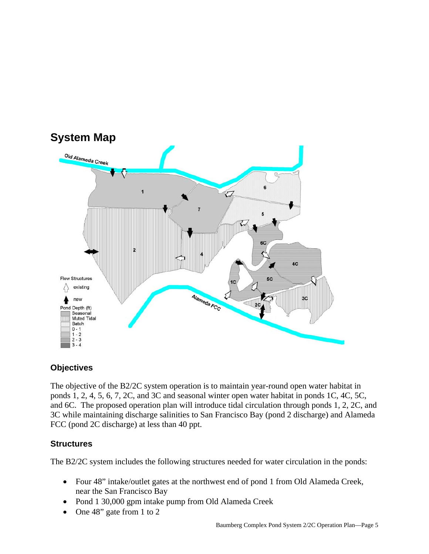

### **Objectives**

The objective of the B2/2C system operation is to maintain year-round open water habitat in ponds 1, 2, 4, 5, 6, 7, 2C, and 3C and seasonal winter open water habitat in ponds 1C, 4C, 5C, and 6C. The proposed operation plan will introduce tidal circulation through ponds 1, 2, 2C, and 3C while maintaining discharge salinities to San Francisco Bay (pond 2 discharge) and Alameda FCC (pond 2C discharge) at less than 40 ppt.

### **Structures**

The B2/2C system includes the following structures needed for water circulation in the ponds:

- Four 48" intake/outlet gates at the northwest end of pond 1 from Old Alameda Creek, near the San Francisco Bay
- Pond 1 30,000 gpm intake pump from Old Alameda Creek
- One 48" gate from 1 to 2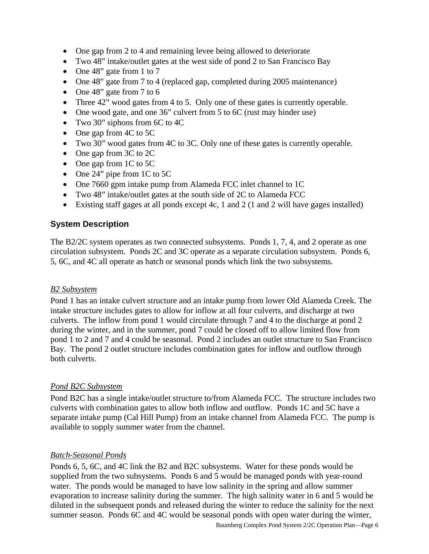- One gap from 2 to 4 and remaining levee being allowed to deteriorate
- Two 48" intake/outlet gates at the west side of pond 2 to San Francisco Bay
- One 48" gate from 1 to 7
- One 48" gate from 7 to 4 (replaced gap, completed during 2005 maintenance)
- One 48" gate from 7 to 6
- Three 42" wood gates from 4 to 5. Only one of these gates is currently operable.
- One wood gate, and one 36" culvert from 5 to 6C (rust may hinder use)
- Two 30" siphons from 6C to 4C
- One gap from 4C to 5C
- Two 30" wood gates from 4C to 3C. Only one of these gates is currently operable.
- One gap from 3C to 2C
- One gap from 1C to 5C
- One 24" pipe from 1C to 5C
- One 7660 gpm intake pump from Alameda FCC inlet channel to 1C
- Two 48" intake/outlet gates at the south side of 2C to Alameda FCC
- Existing staff gages at all ponds except 4c, 1 and 2 (1 and 2 will have gages installed)

### **System Description**

The B2/2C system operates as two connected subsystems. Ponds 1, 7, 4, and 2 operate as one circulation subsystem. Ponds 2C and 3C operate as a separate circulation subsystem. Ponds 6, 5, 6C, and 4C all operate as batch or seasonal ponds which link the two subsystems.

#### *B2 Subsystem*

Pond 1 has an intake culvert structure and an intake pump from lower Old Alameda Creek. The intake structure includes gates to allow for inflow at all four culverts, and discharge at two culverts. The inflow from pond 1 would circulate through 7 and 4 to the discharge at pond 2 during the winter, and in the summer, pond 7 could be closed off to allow limited flow from pond 1 to 2 and 7 and 4 could be seasonal. Pond 2 includes an outlet structure to San Francisco Bay. The pond 2 outlet structure includes combination gates for inflow and outflow through both culverts.

#### *Pond B2C Subsystem*

Pond B2C has a single intake/outlet structure to/from Alameda FCC. The structure includes two culverts with combination gates to allow both inflow and outflow. Ponds 1C and 5C have a separate intake pump (Cal Hill Pump) from an intake channel from Alameda FCC. The pump is available to supply summer water from the channel.

#### *Batch-Seasonal Ponds*

Ponds 6, 5, 6C, and 4C link the B2 and B2C subsystems. Water for these ponds would be supplied from the two subsystems. Ponds 6 and 5 would be managed ponds with year-round water. The ponds would be managed to have low salinity in the spring and allow summer evaporation to increase salinity during the summer. The high salinity water in 6 and 5 would be diluted in the subsequent ponds and released during the winter to reduce the salinity for the next summer season. Ponds 6C and 4C would be seasonal ponds with open water during the winter,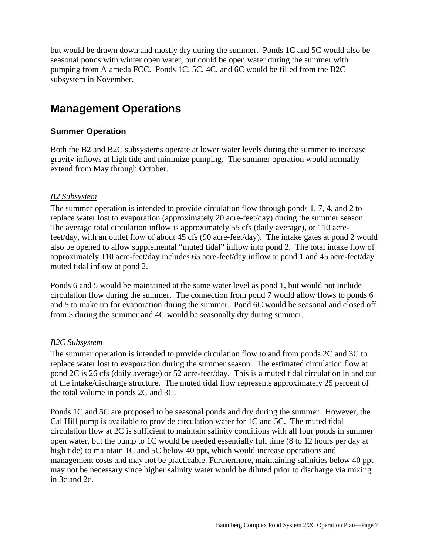but would be drawn down and mostly dry during the summer. Ponds 1C and 5C would also be seasonal ponds with winter open water, but could be open water during the summer with pumping from Alameda FCC. Ponds 1C, 5C, 4C, and 6C would be filled from the B2C subsystem in November.

# **Management Operations**

### **Summer Operation**

Both the B2 and B2C subsystems operate at lower water levels during the summer to increase gravity inflows at high tide and minimize pumping. The summer operation would normally extend from May through October.

### *B2 Subsystem*

The summer operation is intended to provide circulation flow through ponds 1, 7, 4, and 2 to replace water lost to evaporation (approximately 20 acre-feet/day) during the summer season. The average total circulation inflow is approximately 55 cfs (daily average), or 110 acrefeet/day, with an outlet flow of about 45 cfs (90 acre-feet/day). The intake gates at pond 2 would also be opened to allow supplemental "muted tidal" inflow into pond 2. The total intake flow of approximately 110 acre-feet/day includes 65 acre-feet/day inflow at pond 1 and 45 acre-feet/day muted tidal inflow at pond 2.

Ponds 6 and 5 would be maintained at the same water level as pond 1, but would not include circulation flow during the summer. The connection from pond 7 would allow flows to ponds 6 and 5 to make up for evaporation during the summer. Pond 6C would be seasonal and closed off from 5 during the summer and 4C would be seasonally dry during summer.

### *B2C Subsystem*

The summer operation is intended to provide circulation flow to and from ponds 2C and 3C to replace water lost to evaporation during the summer season. The estimated circulation flow at pond 2C is 26 cfs (daily average) or 52 acre-feet/day. This is a muted tidal circulation in and out of the intake/discharge structure. The muted tidal flow represents approximately 25 percent of the total volume in ponds 2C and 3C.

Ponds 1C and 5C are proposed to be seasonal ponds and dry during the summer. However, the Cal Hill pump is available to provide circulation water for 1C and 5C. The muted tidal circulation flow at 2C is sufficient to maintain salinity conditions with all four ponds in summer open water, but the pump to 1C would be needed essentially full time (8 to 12 hours per day at high tide) to maintain 1C and 5C below 40 ppt, which would increase operations and management costs and may not be practicable. Furthermore, maintaining salinities below 40 ppt may not be necessary since higher salinity water would be diluted prior to discharge via mixing in 3c and 2c.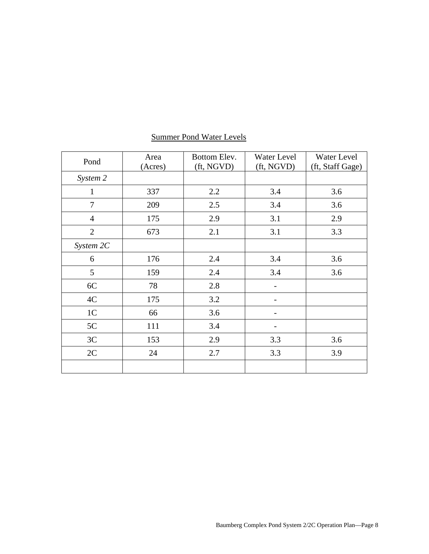| Pond           | Area    | Bottom Elev. | Water Level              | Water Level      |
|----------------|---------|--------------|--------------------------|------------------|
|                | (Acres) | (ft, NGVD)   | (ft, NGVD)               | (ft, Staff Gage) |
| System 2       |         |              |                          |                  |
| $\mathbf{1}$   | 337     | 2.2          | 3.4                      | 3.6              |
| $\overline{7}$ | 209     | 2.5          | 3.4                      | 3.6              |
| $\overline{4}$ | 175     | 2.9          | 3.1                      | 2.9              |
| $\overline{2}$ | 673     | 2.1          | 3.1                      | 3.3              |
| System 2C      |         |              |                          |                  |
| 6              | 176     | 2.4          | 3.4                      | 3.6              |
| 5              | 159     | 2.4          | 3.4                      | 3.6              |
| 6C             | 78      | 2.8          |                          |                  |
| 4C             | 175     | 3.2          |                          |                  |
| 1 <sup>C</sup> | 66      | 3.6          | $\overline{\phantom{a}}$ |                  |
| 5C             | 111     | 3.4          |                          |                  |
| 3C             | 153     | 2.9          | 3.3                      | 3.6              |
| 2C             | 24      | 2.7          | 3.3                      | 3.9              |
|                |         |              |                          |                  |

# Summer Pond Water Levels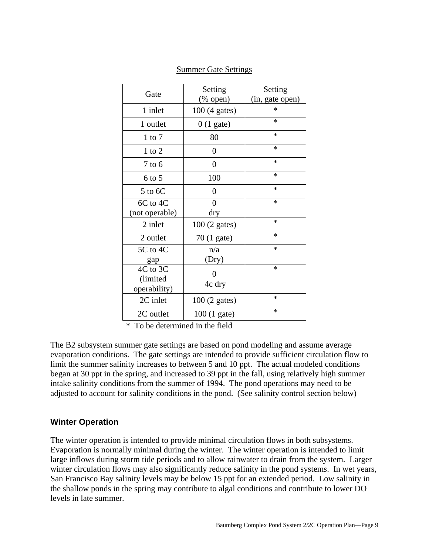|                | Setting                   | Setting         |
|----------------|---------------------------|-----------------|
| Gate           | $(% \mathbf{A})$ (% open) | (in, gate open) |
| 1 inlet        | 100 (4 gates)             | $\ast$          |
| 1 outlet       | $0(1)$ gate)              | $\ast$          |
| $1$ to $7$     | 80                        | *               |
| $1$ to $2$     | 0                         | *               |
| $7$ to 6       | 0                         | $\ast$          |
| $6$ to 5       | 100                       | $\ast$          |
| 5 to 6C        | $\overline{0}$            | $\ast$          |
| 6C to 4C       | $\theta$                  | *               |
| (not operable) | dry                       |                 |
| 2 inlet        | 100 (2 gates)             | $\ast$          |
| 2 outlet       | 70 (1 gate)               | $\ast$          |
| 5C to 4C       | n/a                       | $\ast$          |
| gap            | (Dry)                     |                 |
| 4C to 3C       | 0                         | $\ast$          |
| (limited       |                           |                 |
| operability)   | 4c dry                    |                 |
| 2C inlet       | $100(2 \text{ gates})$    | $\ast$          |
| 2C outlet      | $100(1)$ gate)            | $\ast$          |

Summer Gate Settings

\* To be determined in the field

The B2 subsystem summer gate settings are based on pond modeling and assume average evaporation conditions. The gate settings are intended to provide sufficient circulation flow to limit the summer salinity increases to between 5 and 10 ppt. The actual modeled conditions began at 30 ppt in the spring, and increased to 39 ppt in the fall, using relatively high summer intake salinity conditions from the summer of 1994. The pond operations may need to be adjusted to account for salinity conditions in the pond. (See salinity control section below)

### **Winter Operation**

The winter operation is intended to provide minimal circulation flows in both subsystems. Evaporation is normally minimal during the winter. The winter operation is intended to limit large inflows during storm tide periods and to allow rainwater to drain from the system. Larger winter circulation flows may also significantly reduce salinity in the pond systems. In wet years, San Francisco Bay salinity levels may be below 15 ppt for an extended period. Low salinity in the shallow ponds in the spring may contribute to algal conditions and contribute to lower DO levels in late summer.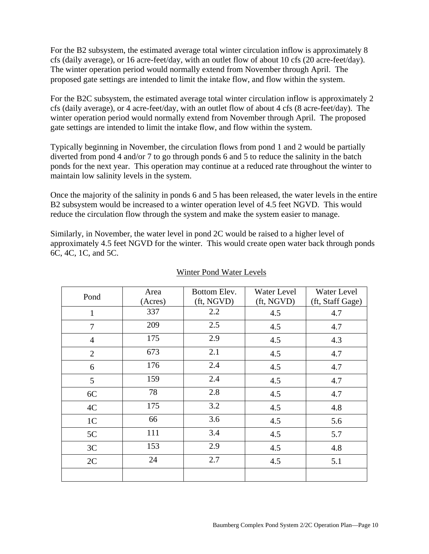For the B2 subsystem, the estimated average total winter circulation inflow is approximately 8 cfs (daily average), or 16 acre-feet/day, with an outlet flow of about 10 cfs (20 acre-feet/day). The winter operation period would normally extend from November through April. The proposed gate settings are intended to limit the intake flow, and flow within the system.

For the B2C subsystem, the estimated average total winter circulation inflow is approximately 2 cfs (daily average), or 4 acre-feet/day, with an outlet flow of about 4 cfs (8 acre-feet/day). The winter operation period would normally extend from November through April. The proposed gate settings are intended to limit the intake flow, and flow within the system.

Typically beginning in November, the circulation flows from pond 1 and 2 would be partially diverted from pond 4 and/or 7 to go through ponds 6 and 5 to reduce the salinity in the batch ponds for the next year. This operation may continue at a reduced rate throughout the winter to maintain low salinity levels in the system.

Once the majority of the salinity in ponds 6 and 5 has been released, the water levels in the entire B2 subsystem would be increased to a winter operation level of 4.5 feet NGVD. This would reduce the circulation flow through the system and make the system easier to manage.

Similarly, in November, the water level in pond 2C would be raised to a higher level of approximately 4.5 feet NGVD for the winter. This would create open water back through ponds 6C, 4C, 1C, and 5C.

| Pond           | Area<br>(Acres) | Bottom Elev.<br>(ft, NGVD) | Water Level<br>(ft, NGVD) | Water Level<br>(ft, Staff Gage) |
|----------------|-----------------|----------------------------|---------------------------|---------------------------------|
| $\mathbf{1}$   | 337             | 2.2                        | 4.5                       | 4.7                             |
| 7              | 209             | 2.5                        | 4.5                       | 4.7                             |
| $\overline{4}$ | 175             | 2.9                        | 4.5                       | 4.3                             |
| $\overline{2}$ | 673             | 2.1                        | 4.5                       | 4.7                             |
| 6              | 176             | 2.4                        | 4.5                       | 4.7                             |
| 5              | 159             | 2.4                        | 4.5                       | 4.7                             |
| 6C             | 78              | 2.8                        | 4.5                       | 4.7                             |
| 4C             | 175             | 3.2                        | 4.5                       | 4.8                             |
| 1 <sup>C</sup> | 66              | 3.6                        | 4.5                       | 5.6                             |
| 5C             | 111             | 3.4                        | 4.5                       | 5.7                             |
| 3C             | 153             | 2.9                        | 4.5                       | 4.8                             |
| 2C             | 24              | 2.7                        | 4.5                       | 5.1                             |
|                |                 |                            |                           |                                 |

#### Winter Pond Water Levels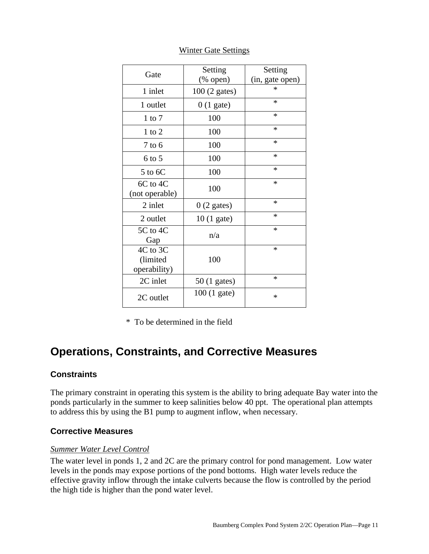| Gate           | Setting                   | Setting         |
|----------------|---------------------------|-----------------|
|                | $(% \mathbf{A})$ (% open) | (in, gate open) |
| 1 inlet        | 100 (2 gates)             | *               |
| 1 outlet       | $0(1)$ gate)              | $\ast$          |
| $1$ to $7$     | 100                       | *               |
| $1$ to $2$     | 100                       | *               |
| $7$ to $6$     | 100                       | $\ast$          |
| $6$ to 5       | 100                       | *               |
| 5 to 6C        | 100                       | $\ast$          |
| 6C to 4C       | 100                       | $\ast$          |
| (not operable) |                           |                 |
| 2 inlet        | $0(2)$ gates)             | *               |
| 2 outlet       | $10(1)$ gate)             | *               |
| 5C to 4C       | n/a                       | $\ast$          |
| Gap            |                           |                 |
| 4C to 3C       |                           | $\ast$          |
| (limited       | 100                       |                 |
| operability)   |                           |                 |
| 2C inlet       | $50(1)$ gates)            | *               |
| 2C outlet      | $100(1)$ gate)            | *               |

Winter Gate Settings

\* To be determined in the field

# **Operations, Constraints, and Corrective Measures**

### **Constraints**

The primary constraint in operating this system is the ability to bring adequate Bay water into the ponds particularly in the summer to keep salinities below 40 ppt. The operational plan attempts to address this by using the B1 pump to augment inflow, when necessary*.*

### **Corrective Measures**

#### *Summer Water Level Control*

The water level in ponds 1, 2 and 2C are the primary control for pond management. Low water levels in the ponds may expose portions of the pond bottoms. High water levels reduce the effective gravity inflow through the intake culverts because the flow is controlled by the period the high tide is higher than the pond water level.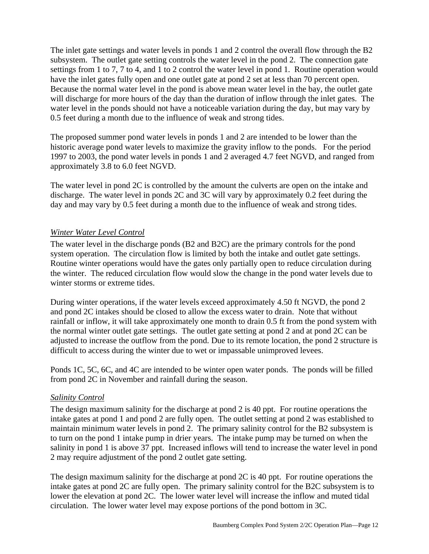The inlet gate settings and water levels in ponds 1 and 2 control the overall flow through the B2 subsystem. The outlet gate setting controls the water level in the pond 2. The connection gate settings from 1 to 7, 7 to 4, and 1 to 2 control the water level in pond 1. Routine operation would have the inlet gates fully open and one outlet gate at pond 2 set at less than 70 percent open. Because the normal water level in the pond is above mean water level in the bay, the outlet gate will discharge for more hours of the day than the duration of inflow through the inlet gates. The water level in the ponds should not have a noticeable variation during the day, but may vary by 0.5 feet during a month due to the influence of weak and strong tides.

The proposed summer pond water levels in ponds 1 and 2 are intended to be lower than the historic average pond water levels to maximize the gravity inflow to the ponds. For the period 1997 to 2003, the pond water levels in ponds 1 and 2 averaged 4.7 feet NGVD, and ranged from approximately 3.8 to 6.0 feet NGVD.

The water level in pond 2C is controlled by the amount the culverts are open on the intake and discharge. The water level in ponds 2C and 3C will vary by approximately 0.2 feet during the day and may vary by 0.5 feet during a month due to the influence of weak and strong tides.

### *Winter Water Level Control*

The water level in the discharge ponds (B2 and B2C) are the primary controls for the pond system operation. The circulation flow is limited by both the intake and outlet gate settings. Routine winter operations would have the gates only partially open to reduce circulation during the winter. The reduced circulation flow would slow the change in the pond water levels due to winter storms or extreme tides.

During winter operations, if the water levels exceed approximately 4.50 ft NGVD, the pond 2 and pond 2C intakes should be closed to allow the excess water to drain. Note that without rainfall or inflow, it will take approximately one month to drain 0.5 ft from the pond system with the normal winter outlet gate settings. The outlet gate setting at pond 2 and at pond 2C can be adjusted to increase the outflow from the pond. Due to its remote location, the pond 2 structure is difficult to access during the winter due to wet or impassable unimproved levees.

Ponds 1C, 5C, 6C, and 4C are intended to be winter open water ponds. The ponds will be filled from pond 2C in November and rainfall during the season.

### *Salinity Control*

The design maximum salinity for the discharge at pond 2 is 40 ppt. For routine operations the intake gates at pond 1 and pond 2 are fully open. The outlet setting at pond 2 was established to maintain minimum water levels in pond 2. The primary salinity control for the B2 subsystem is to turn on the pond 1 intake pump in drier years. The intake pump may be turned on when the salinity in pond 1 is above 37 ppt. Increased inflows will tend to increase the water level in pond 2 may require adjustment of the pond 2 outlet gate setting.

The design maximum salinity for the discharge at pond 2C is 40 ppt. For routine operations the intake gates at pond 2C are fully open. The primary salinity control for the B2C subsystem is to lower the elevation at pond 2C. The lower water level will increase the inflow and muted tidal circulation. The lower water level may expose portions of the pond bottom in 3C.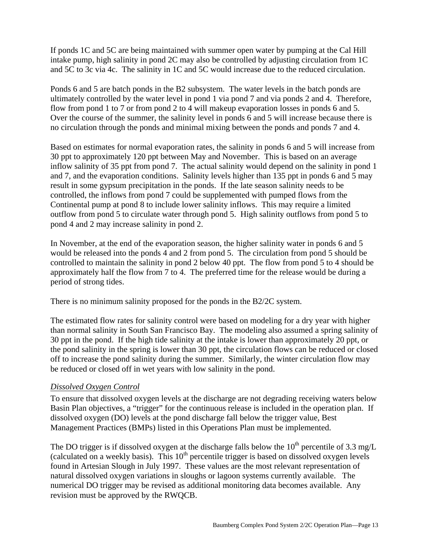If ponds 1C and 5C are being maintained with summer open water by pumping at the Cal Hill intake pump, high salinity in pond 2C may also be controlled by adjusting circulation from 1C and 5C to 3c via 4c. The salinity in 1C and 5C would increase due to the reduced circulation.

Ponds 6 and 5 are batch ponds in the B2 subsystem. The water levels in the batch ponds are ultimately controlled by the water level in pond 1 via pond 7 and via ponds 2 and 4. Therefore, flow from pond 1 to 7 or from pond 2 to 4 will makeup evaporation losses in ponds 6 and 5. Over the course of the summer, the salinity level in ponds 6 and 5 will increase because there is no circulation through the ponds and minimal mixing between the ponds and ponds 7 and 4.

Based on estimates for normal evaporation rates, the salinity in ponds 6 and 5 will increase from 30 ppt to approximately 120 ppt between May and November. This is based on an average inflow salinity of 35 ppt from pond 7. The actual salinity would depend on the salinity in pond 1 and 7, and the evaporation conditions. Salinity levels higher than 135 ppt in ponds 6 and 5 may result in some gypsum precipitation in the ponds. If the late season salinity needs to be controlled, the inflows from pond 7 could be supplemented with pumped flows from the Continental pump at pond 8 to include lower salinity inflows. This may require a limited outflow from pond 5 to circulate water through pond 5. High salinity outflows from pond 5 to pond 4 and 2 may increase salinity in pond 2.

In November, at the end of the evaporation season, the higher salinity water in ponds 6 and 5 would be released into the ponds 4 and 2 from pond 5. The circulation from pond 5 should be controlled to maintain the salinity in pond 2 below 40 ppt. The flow from pond 5 to 4 should be approximately half the flow from 7 to 4. The preferred time for the release would be during a period of strong tides.

There is no minimum salinity proposed for the ponds in the B2/2C system.

The estimated flow rates for salinity control were based on modeling for a dry year with higher than normal salinity in South San Francisco Bay. The modeling also assumed a spring salinity of 30 ppt in the pond. If the high tide salinity at the intake is lower than approximately 20 ppt, or the pond salinity in the spring is lower than 30 ppt, the circulation flows can be reduced or closed off to increase the pond salinity during the summer. Similarly, the winter circulation flow may be reduced or closed off in wet years with low salinity in the pond.

#### *Dissolved Oxygen Control*

To ensure that dissolved oxygen levels at the discharge are not degrading receiving waters below Basin Plan objectives, a "trigger" for the continuous release is included in the operation plan. If dissolved oxygen (DO) levels at the pond discharge fall below the trigger value, Best Management Practices (BMPs) listed in this Operations Plan must be implemented.

The DO trigger is if dissolved oxygen at the discharge falls below the  $10^{th}$  percentile of 3.3 mg/L (calculated on a weekly basis). This  $10^{th}$  percentile trigger is based on dissolved oxygen levels found in Artesian Slough in July 1997. These values are the most relevant representation of natural dissolved oxygen variations in sloughs or lagoon systems currently available. The numerical DO trigger may be revised as additional monitoring data becomes available. Any revision must be approved by the RWQCB.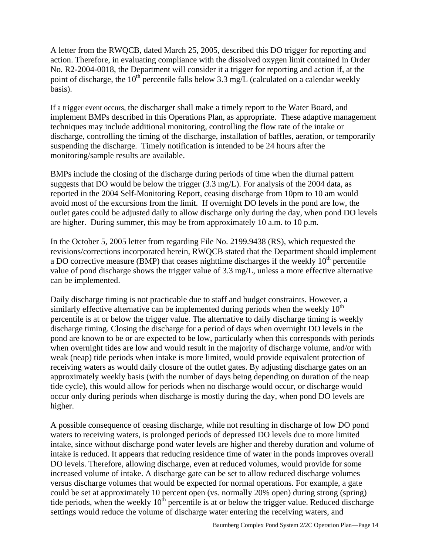A letter from the RWQCB, dated March 25, 2005, described this DO trigger for reporting and action. Therefore, in evaluating compliance with the dissolved oxygen limit contained in Order No. R2-2004-0018, the Department will consider it a trigger for reporting and action if, at the point of discharge, the  $10^{th}$  percentile falls below 3.3 mg/L (calculated on a calendar weekly basis).

If a trigger event occurs, the discharger shall make a timely report to the Water Board, and implement BMPs described in this Operations Plan, as appropriate. These adaptive management techniques may include additional monitoring, controlling the flow rate of the intake or discharge, controlling the timing of the discharge, installation of baffles, aeration, or temporarily suspending the discharge. Timely notification is intended to be 24 hours after the monitoring/sample results are available.

BMPs include the closing of the discharge during periods of time when the diurnal pattern suggests that DO would be below the trigger (3.3 mg/L). For analysis of the 2004 data, as reported in the 2004 Self-Monitoring Report, ceasing discharge from 10pm to 10 am would avoid most of the excursions from the limit. If overnight DO levels in the pond are low, the outlet gates could be adjusted daily to allow discharge only during the day, when pond DO levels are higher. During summer, this may be from approximately 10 a.m. to 10 p.m.

In the October 5, 2005 letter from regarding File No. 2199.9438 (RS), which requested the revisions/corrections incorporated herein, RWQCB stated that the Department should implement a DO corrective measure (BMP) that ceases nighttime discharges if the weekly  $10<sup>th</sup>$  percentile value of pond discharge shows the trigger value of 3.3 mg/L, unless a more effective alternative can be implemented.

Daily discharge timing is not practicable due to staff and budget constraints. However, a similarly effective alternative can be implemented during periods when the weekly  $10<sup>th</sup>$ percentile is at or below the trigger value. The alternative to daily discharge timing is weekly discharge timing. Closing the discharge for a period of days when overnight DO levels in the pond are known to be or are expected to be low, particularly when this corresponds with periods when overnight tides are low and would result in the majority of discharge volume, and/or with weak (neap) tide periods when intake is more limited, would provide equivalent protection of receiving waters as would daily closure of the outlet gates. By adjusting discharge gates on an approximately weekly basis (with the number of days being depending on duration of the neap tide cycle), this would allow for periods when no discharge would occur, or discharge would occur only during periods when discharge is mostly during the day, when pond DO levels are higher.

A possible consequence of ceasing discharge, while not resulting in discharge of low DO pond waters to receiving waters, is prolonged periods of depressed DO levels due to more limited intake, since without discharge pond water levels are higher and thereby duration and volume of intake is reduced. It appears that reducing residence time of water in the ponds improves overall DO levels. Therefore, allowing discharge, even at reduced volumes, would provide for some increased volume of intake. A discharge gate can be set to allow reduced discharge volumes versus discharge volumes that would be expected for normal operations. For example, a gate could be set at approximately 10 percent open (vs. normally 20% open) during strong (spring) tide periods, when the weekly  $10^{th}$  percentile is at or below the trigger value. Reduced discharge settings would reduce the volume of discharge water entering the receiving waters, and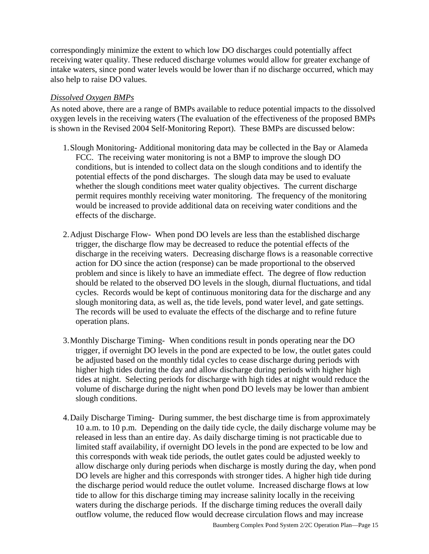correspondingly minimize the extent to which low DO discharges could potentially affect receiving water quality. These reduced discharge volumes would allow for greater exchange of intake waters, since pond water levels would be lower than if no discharge occurred, which may also help to raise DO values.

### *Dissolved Oxygen BMPs*

As noted above, there are a range of BMPs available to reduce potential impacts to the dissolved oxygen levels in the receiving waters (The evaluation of the effectiveness of the proposed BMPs is shown in the Revised 2004 Self-Monitoring Report). These BMPs are discussed below:

- 1.Slough Monitoring- Additional monitoring data may be collected in the Bay or Alameda FCC. The receiving water monitoring is not a BMP to improve the slough DO conditions, but is intended to collect data on the slough conditions and to identify the potential effects of the pond discharges. The slough data may be used to evaluate whether the slough conditions meet water quality objectives. The current discharge permit requires monthly receiving water monitoring. The frequency of the monitoring would be increased to provide additional data on receiving water conditions and the effects of the discharge.
- 2.Adjust Discharge Flow- When pond DO levels are less than the established discharge trigger, the discharge flow may be decreased to reduce the potential effects of the discharge in the receiving waters. Decreasing discharge flows is a reasonable corrective action for DO since the action (response) can be made proportional to the observed problem and since is likely to have an immediate effect. The degree of flow reduction should be related to the observed DO levels in the slough, diurnal fluctuations, and tidal cycles. Records would be kept of continuous monitoring data for the discharge and any slough monitoring data, as well as, the tide levels, pond water level, and gate settings. The records will be used to evaluate the effects of the discharge and to refine future operation plans.
- 3.Monthly Discharge Timing- When conditions result in ponds operating near the DO trigger, if overnight DO levels in the pond are expected to be low, the outlet gates could be adjusted based on the monthly tidal cycles to cease discharge during periods with higher high tides during the day and allow discharge during periods with higher high tides at night. Selecting periods for discharge with high tides at night would reduce the volume of discharge during the night when pond DO levels may be lower than ambient slough conditions.
- 4.Daily Discharge Timing- During summer, the best discharge time is from approximately 10 a.m. to 10 p.m. Depending on the daily tide cycle, the daily discharge volume may be released in less than an entire day. As daily discharge timing is not practicable due to limited staff availability, if overnight DO levels in the pond are expected to be low and this corresponds with weak tide periods, the outlet gates could be adjusted weekly to allow discharge only during periods when discharge is mostly during the day, when pond DO levels are higher and this corresponds with stronger tides. A higher high tide during the discharge period would reduce the outlet volume. Increased discharge flows at low tide to allow for this discharge timing may increase salinity locally in the receiving waters during the discharge periods. If the discharge timing reduces the overall daily outflow volume, the reduced flow would decrease circulation flows and may increase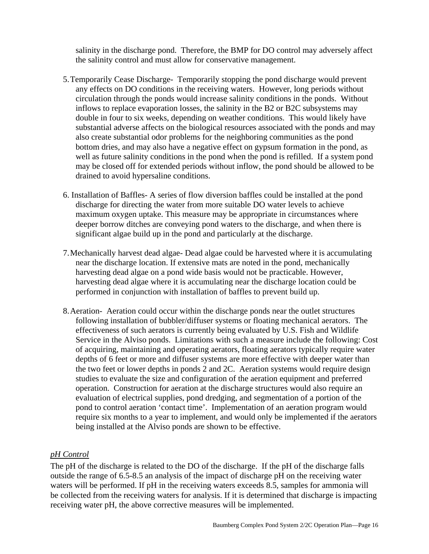salinity in the discharge pond. Therefore, the BMP for DO control may adversely affect the salinity control and must allow for conservative management.

- 5.Temporarily Cease Discharge- Temporarily stopping the pond discharge would prevent any effects on DO conditions in the receiving waters. However, long periods without circulation through the ponds would increase salinity conditions in the ponds. Without inflows to replace evaporation losses, the salinity in the B2 or B2C subsystems may double in four to six weeks, depending on weather conditions. This would likely have substantial adverse affects on the biological resources associated with the ponds and may also create substantial odor problems for the neighboring communities as the pond bottom dries, and may also have a negative effect on gypsum formation in the pond, as well as future salinity conditions in the pond when the pond is refilled. If a system pond may be closed off for extended periods without inflow, the pond should be allowed to be drained to avoid hypersaline conditions.
- 6. Installation of Baffles- A series of flow diversion baffles could be installed at the pond discharge for directing the water from more suitable DO water levels to achieve maximum oxygen uptake. This measure may be appropriate in circumstances where deeper borrow ditches are conveying pond waters to the discharge, and when there is significant algae build up in the pond and particularly at the discharge.
- 7.Mechanically harvest dead algae- Dead algae could be harvested where it is accumulating near the discharge location. If extensive mats are noted in the pond, mechanically harvesting dead algae on a pond wide basis would not be practicable. However, harvesting dead algae where it is accumulating near the discharge location could be performed in conjunction with installation of baffles to prevent build up.
- 8.Aeration- Aeration could occur within the discharge ponds near the outlet structures following installation of bubbler/diffuser systems or floating mechanical aerators. The effectiveness of such aerators is currently being evaluated by U.S. Fish and Wildlife Service in the Alviso ponds. Limitations with such a measure include the following: Cost of acquiring, maintaining and operating aerators, floating aerators typically require water depths of 6 feet or more and diffuser systems are more effective with deeper water than the two feet or lower depths in ponds 2 and 2C. Aeration systems would require design studies to evaluate the size and configuration of the aeration equipment and preferred operation. Construction for aeration at the discharge structures would also require an evaluation of electrical supplies, pond dredging, and segmentation of a portion of the pond to control aeration 'contact time'. Implementation of an aeration program would require six months to a year to implement, and would only be implemented if the aerators being installed at the Alviso ponds are shown to be effective.

### *pH Control*

The pH of the discharge is related to the DO of the discharge. If the pH of the discharge falls outside the range of 6.5-8.5 an analysis of the impact of discharge pH on the receiving water waters will be performed. If pH in the receiving waters exceeds 8.5, samples for ammonia will be collected from the receiving waters for analysis. If it is determined that discharge is impacting receiving water pH, the above corrective measures will be implemented.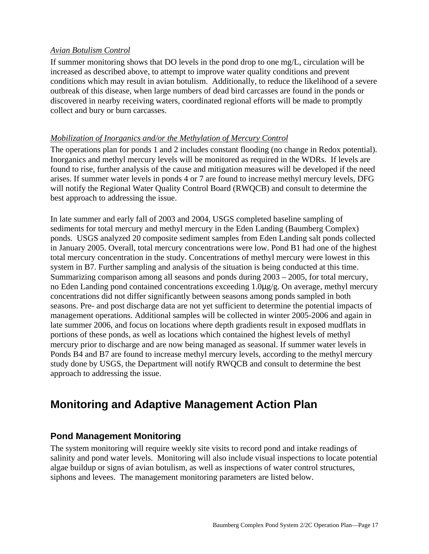### *Avian Botulism Control*

If summer monitoring shows that DO levels in the pond drop to one mg/L, circulation will be increased as described above, to attempt to improve water quality conditions and prevent conditions which may result in avian botulism. Additionally, to reduce the likelihood of a severe outbreak of this disease, when large numbers of dead bird carcasses are found in the ponds or discovered in nearby receiving waters, coordinated regional efforts will be made to promptly collect and bury or burn carcasses.

### *Mobilization of Inorganics and/or the Methylation of Mercury Control*

The operations plan for ponds 1 and 2 includes constant flooding (no change in Redox potential). Inorganics and methyl mercury levels will be monitored as required in the WDRs. If levels are found to rise, further analysis of the cause and mitigation measures will be developed if the need arises. If summer water levels in ponds 4 or 7 are found to increase methyl mercury levels, DFG will notify the Regional Water Quality Control Board (RWQCB) and consult to determine the best approach to addressing the issue.

In late summer and early fall of 2003 and 2004, USGS completed baseline sampling of sediments for total mercury and methyl mercury in the Eden Landing (Baumberg Complex) ponds. USGS analyzed 20 composite sediment samples from Eden Landing salt ponds collected in January 2005. Overall, total mercury concentrations were low. Pond B1 had one of the highest total mercury concentration in the study. Concentrations of methyl mercury were lowest in this system in B7. Further sampling and analysis of the situation is being conducted at this time. Summarizing comparison among all seasons and ponds during 2003 – 2005, for total mercury, no Eden Landing pond contained concentrations exceeding 1.0µg/g. On average, methyl mercury concentrations did not differ significantly between seasons among ponds sampled in both seasons. Pre- and post discharge data are not yet sufficient to determine the potential impacts of management operations. Additional samples will be collected in winter 2005-2006 and again in late summer 2006, and focus on locations where depth gradients result in exposed mudflats in portions of these ponds, as well as locations which contained the highest levels of methyl mercury prior to discharge and are now being managed as seasonal. If summer water levels in Ponds B4 and B7 are found to increase methyl mercury levels, according to the methyl mercury study done by USGS, the Department will notify RWQCB and consult to determine the best approach to addressing the issue.

# **Monitoring and Adaptive Management Action Plan**

## **Pond Management Monitoring**

The system monitoring will require weekly site visits to record pond and intake readings of salinity and pond water levels. Monitoring will also include visual inspections to locate potential algae buildup or signs of avian botulism, as well as inspections of water control structures, siphons and levees. The management monitoring parameters are listed below.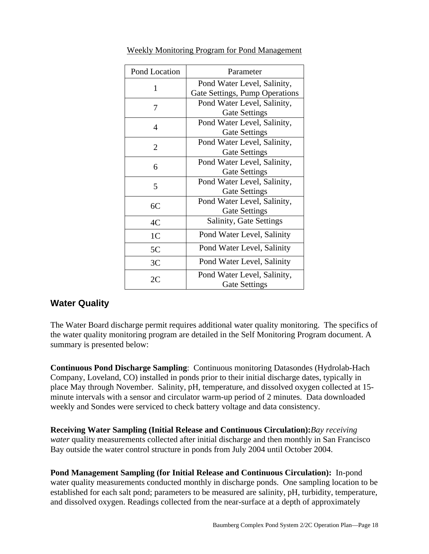| Pond Location  | Parameter                                           |
|----------------|-----------------------------------------------------|
|                | Pond Water Level, Salinity,                         |
| 1              | Gate Settings, Pump Operations                      |
| 7              | Pond Water Level, Salinity,                         |
|                | <b>Gate Settings</b>                                |
| $\overline{4}$ | Pond Water Level, Salinity,                         |
|                | <b>Gate Settings</b>                                |
| 2              | Pond Water Level, Salinity,                         |
|                | <b>Gate Settings</b>                                |
| 6              | Pond Water Level, Salinity,                         |
|                | <b>Gate Settings</b>                                |
| 5              | Pond Water Level, Salinity,                         |
|                | <b>Gate Settings</b>                                |
| 6C             | Pond Water Level, Salinity,                         |
|                | <b>Gate Settings</b>                                |
| 4C             | Salinity, Gate Settings                             |
| 1 <sup>C</sup> | Pond Water Level, Salinity                          |
| 5C             | Pond Water Level, Salinity                          |
| 3C             | Pond Water Level, Salinity                          |
| 2C             | Pond Water Level, Salinity,<br><b>Gate Settings</b> |

Weekly Monitoring Program for Pond Management

## **Water Quality**

The Water Board discharge permit requires additional water quality monitoring. The specifics of the water quality monitoring program are detailed in the Self Monitoring Program document. A summary is presented below:

**Continuous Pond Discharge Sampling**: Continuous monitoring Datasondes (Hydrolab-Hach Company, Loveland, CO) installed in ponds prior to their initial discharge dates, typically in place May through November.Salinity, pH, temperature, and dissolved oxygen collected at 15 minute intervals with a sensor and circulator warm-up period of 2 minutes. Data downloaded weekly and Sondes were serviced to check battery voltage and data consistency.

**Receiving Water Sampling (Initial Release and Continuous Circulation):***Bay receiving water* quality measurements collected after initial discharge and then monthly in San Francisco Bay outside the water control structure in ponds from July 2004 until October 2004.

**Pond Management Sampling (for Initial Release and Continuous Circulation):**In-pond water quality measurements conducted monthly in discharge ponds. One sampling location to be established for each salt pond; parameters to be measured are salinity, pH, turbidity, temperature, and dissolved oxygen. Readings collected from the near-surface at a depth of approximately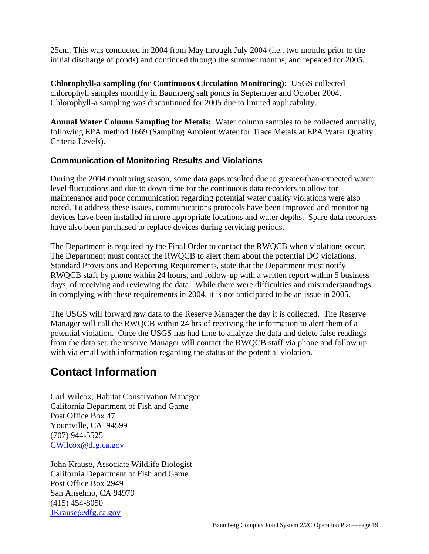25cm. This was conducted in 2004 from May through July 2004 (i.e., two months prior to the initial discharge of ponds) and continued through the summer months, and repeated for 2005.

**Chlorophyll-a sampling (for Continuous Circulation Monitoring):** USGS collected chlorophyll samples monthly in Baumberg salt ponds in September and October 2004. Chlorophyll-a sampling was discontinued for 2005 due to limited applicability.

**Annual Water Column Sampling for Metals:**Water column samples to be collected annually, following EPA method 1669 (Sampling Ambient Water for Trace Metals at EPA Water Quality Criteria Levels).

### **Communication of Monitoring Results and Violations**

During the 2004 monitoring season, some data gaps resulted due to greater-than-expected water level fluctuations and due to down-time for the continuous data recorders to allow for maintenance and poor communication regarding potential water quality violations were also noted. To address these issues, communications protocols have been improved and monitoring devices have been installed in more appropriate locations and water depths. Spare data recorders have also been purchased to replace devices during servicing periods.

The Department is required by the Final Order to contact the RWQCB when violations occur. The Department must contact the RWQCB to alert them about the potential DO violations. Standard Provisions and Reporting Requirements, state that the Department must notify RWQCB staff by phone within 24 hours, and follow-up with a written report within 5 business days, of receiving and reviewing the data. While there were difficulties and misunderstandings in complying with these requirements in 2004, it is not anticipated to be an issue in 2005.

The USGS will forward raw data to the Reserve Manager the day it is collected. The Reserve Manager will call the RWQCB within 24 hrs of receiving the information to alert them of a potential violation. Once the USGS has had time to analyze the data and delete false readings from the data set, the reserve Manager will contact the RWQCB staff via phone and follow up with via email with information regarding the status of the potential violation.

# **Contact Information**

Carl Wilcox, Habitat Conservation Manager California Department of Fish and Game Post Office Box 47 Yountville, CA 94599 (707) 944-5525 CWilcox@dfg.ca.gov

John Krause, Associate Wildlife Biologist California Department of Fish and Game Post Office Box 2949 San Anselmo, CA 94979 (415) 454-8050 JKrause@dfg.ca.gov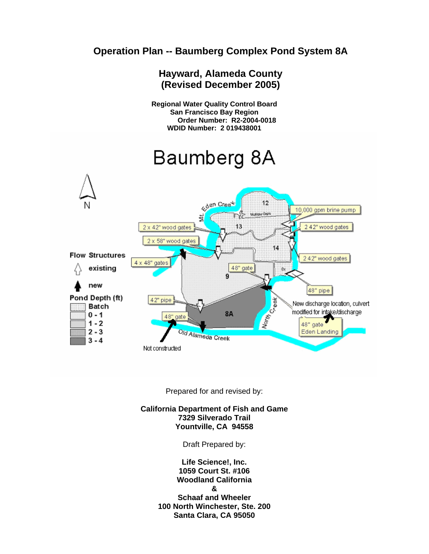# **Operation Plan -- Baumberg Complex Pond System 8A**



Prepared for and revised by:

**California Department of Fish and Game 7329 Silverado Trail Yountville, CA 94558** 

Draft Prepared by:

**Life Science!, Inc. 1059 Court St. #106 Woodland California & Schaaf and Wheeler 100 North Winchester, Ste. 200 Santa Clara, CA 95050**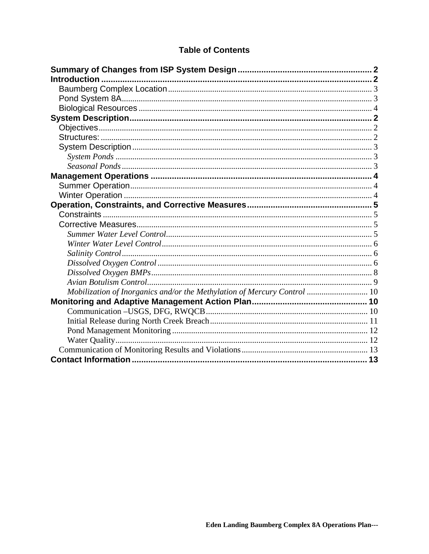## **Table of Contents**

| Mobilization of Inorganics and/or the Methylation of Mercury Control  10 |  |
|--------------------------------------------------------------------------|--|
|                                                                          |  |
|                                                                          |  |
|                                                                          |  |
|                                                                          |  |
|                                                                          |  |
|                                                                          |  |
|                                                                          |  |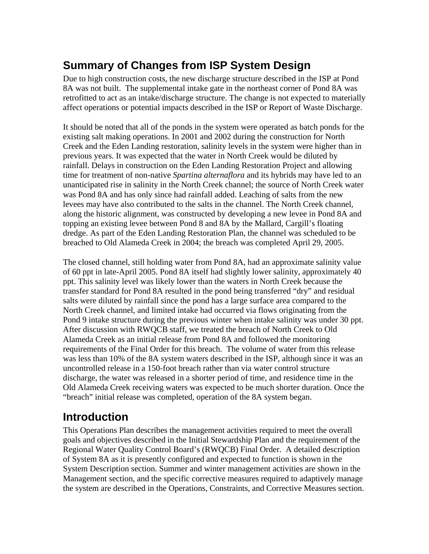# **Summary of Changes from ISP System Design**

Due to high construction costs, the new discharge structure described in the ISP at Pond 8A was not built. The supplemental intake gate in the northeast corner of Pond 8A was retrofitted to act as an intake/discharge structure. The change is not expected to materially affect operations or potential impacts described in the ISP or Report of Waste Discharge.

It should be noted that all of the ponds in the system were operated as batch ponds for the existing salt making operations. In 2001 and 2002 during the construction for North Creek and the Eden Landing restoration, salinity levels in the system were higher than in previous years. It was expected that the water in North Creek would be diluted by rainfall. Delays in construction on the Eden Landing Restoration Project and allowing time for treatment of non-native *Spartina alternaflora* and its hybrids may have led to an unanticipated rise in salinity in the North Creek channel; the source of North Creek water was Pond 8A and has only since had rainfall added. Leaching of salts from the new levees may have also contributed to the salts in the channel. The North Creek channel, along the historic alignment, was constructed by developing a new levee in Pond 8A and topping an existing levee between Pond 8 and 8A by the Mallard, Cargill's floating dredge. As part of the Eden Landing Restoration Plan, the channel was scheduled to be breached to Old Alameda Creek in 2004; the breach was completed April 29, 2005.

The closed channel, still holding water from Pond 8A, had an approximate salinity value of 60 ppt in late-April 2005. Pond 8A itself had slightly lower salinity, approximately 40 ppt. This salinity level was likely lower than the waters in North Creek because the transfer standard for Pond 8A resulted in the pond being transferred "dry" and residual salts were diluted by rainfall since the pond has a large surface area compared to the North Creek channel, and limited intake had occurred via flows originating from the Pond 9 intake structure during the previous winter when intake salinity was under 30 ppt. After discussion with RWQCB staff, we treated the breach of North Creek to Old Alameda Creek as an initial release from Pond 8A and followed the monitoring requirements of the Final Order for this breach. The volume of water from this release was less than 10% of the 8A system waters described in the ISP, although since it was an uncontrolled release in a 150-foot breach rather than via water control structure discharge, the water was released in a shorter period of time, and residence time in the Old Alameda Creek receiving waters was expected to be much shorter duration. Once the "breach" initial release was completed, operation of the 8A system began.

# **Introduction**

This Operations Plan describes the management activities required to meet the overall goals and objectives described in the Initial Stewardship Plan and the requirement of the Regional Water Quality Control Board's (RWQCB) Final Order. A detailed description of System 8A as it is presently configured and expected to function is shown in the System Description section. Summer and winter management activities are shown in the Management section, and the specific corrective measures required to adaptively manage the system are described in the Operations, Constraints, and Corrective Measures section.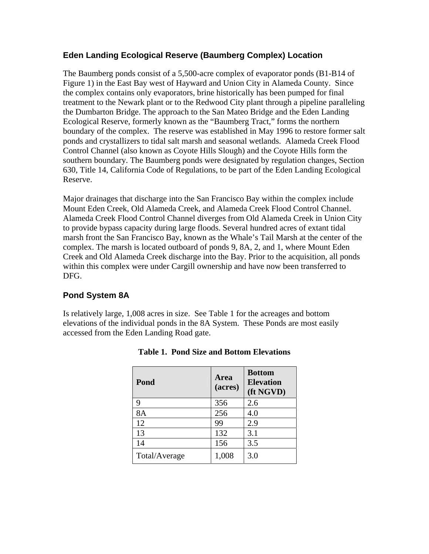### **Eden Landing Ecological Reserve (Baumberg Complex) Location**

The Baumberg ponds consist of a 5,500-acre complex of evaporator ponds (B1-B14 of Figure 1) in the East Bay west of Hayward and Union City in Alameda County. Since the complex contains only evaporators, brine historically has been pumped for final treatment to the Newark plant or to the Redwood City plant through a pipeline paralleling the Dumbarton Bridge. The approach to the San Mateo Bridge and the Eden Landing Ecological Reserve, formerly known as the "Baumberg Tract," forms the northern boundary of the complex. The reserve was established in May 1996 to restore former salt ponds and crystallizers to tidal salt marsh and seasonal wetlands. Alameda Creek Flood Control Channel (also known as Coyote Hills Slough) and the Coyote Hills form the southern boundary. The Baumberg ponds were designated by regulation changes, Section 630, Title 14, California Code of Regulations, to be part of the Eden Landing Ecological Reserve.

Major drainages that discharge into the San Francisco Bay within the complex include Mount Eden Creek, Old Alameda Creek, and Alameda Creek Flood Control Channel. Alameda Creek Flood Control Channel diverges from Old Alameda Creek in Union City to provide bypass capacity during large floods. Several hundred acres of extant tidal marsh front the San Francisco Bay, known as the Whale's Tail Marsh at the center of the complex. The marsh is located outboard of ponds 9, 8A, 2, and 1, where Mount Eden Creek and Old Alameda Creek discharge into the Bay. Prior to the acquisition, all ponds within this complex were under Cargill ownership and have now been transferred to DFG.

## **Pond System 8A**

Is relatively large, 1,008 acres in size. See Table 1 for the acreages and bottom elevations of the individual ponds in the 8A System. These Ponds are most easily accessed from the Eden Landing Road gate.

| Pond          | Area<br>(acres) | <b>Bottom</b><br><b>Elevation</b><br>(ft NGVD) |
|---------------|-----------------|------------------------------------------------|
| 9             | 356             | 2.6                                            |
| 8A            | 256             | 4.0                                            |
| 12            | 99              | 2.9                                            |
| 13            | 132             | 3.1                                            |
| 14            | 156             | 3.5                                            |
| Total/Average | 1,008           | 3.0                                            |

**Table 1. Pond Size and Bottom Elevations**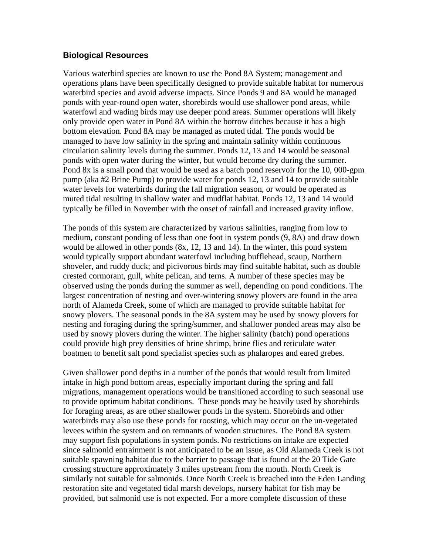#### **Biological Resources**

Various waterbird species are known to use the Pond 8A System; management and operations plans have been specifically designed to provide suitable habitat for numerous waterbird species and avoid adverse impacts. Since Ponds 9 and 8A would be managed ponds with year-round open water, shorebirds would use shallower pond areas, while waterfowl and wading birds may use deeper pond areas. Summer operations will likely only provide open water in Pond 8A within the borrow ditches because it has a high bottom elevation. Pond 8A may be managed as muted tidal. The ponds would be managed to have low salinity in the spring and maintain salinity within continuous circulation salinity levels during the summer. Ponds 12, 13 and 14 would be seasonal ponds with open water during the winter, but would become dry during the summer. Pond 8x is a small pond that would be used as a batch pond reservoir for the 10, 000-gpm pump (aka #2 Brine Pump) to provide water for ponds 12, 13 and 14 to provide suitable water levels for waterbirds during the fall migration season, or would be operated as muted tidal resulting in shallow water and mudflat habitat. Ponds 12, 13 and 14 would typically be filled in November with the onset of rainfall and increased gravity inflow.

The ponds of this system are characterized by various salinities, ranging from low to medium, constant ponding of less than one foot in system ponds (9, 8A) and draw down would be allowed in other ponds (8x, 12, 13 and 14). In the winter, this pond system would typically support abundant waterfowl including bufflehead, scaup, Northern shoveler, and ruddy duck; and picivorous birds may find suitable habitat, such as double crested cormorant, gull, white pelican, and terns. A number of these species may be observed using the ponds during the summer as well, depending on pond conditions. The largest concentration of nesting and over-wintering snowy plovers are found in the area north of Alameda Creek, some of which are managed to provide suitable habitat for snowy plovers. The seasonal ponds in the 8A system may be used by snowy plovers for nesting and foraging during the spring/summer, and shallower ponded areas may also be used by snowy plovers during the winter. The higher salinity (batch) pond operations could provide high prey densities of brine shrimp, brine flies and reticulate water boatmen to benefit salt pond specialist species such as phalaropes and eared grebes.

Given shallower pond depths in a number of the ponds that would result from limited intake in high pond bottom areas, especially important during the spring and fall migrations, management operations would be transitioned according to such seasonal use to provide optimum habitat conditions. These ponds may be heavily used by shorebirds for foraging areas, as are other shallower ponds in the system. Shorebirds and other waterbirds may also use these ponds for roosting, which may occur on the un-vegetated levees within the system and on remnants of wooden structures. The Pond 8A system may support fish populations in system ponds. No restrictions on intake are expected since salmonid entrainment is not anticipated to be an issue, as Old Alameda Creek is not suitable spawning habitat due to the barrier to passage that is found at the 20 Tide Gate crossing structure approximately 3 miles upstream from the mouth. North Creek is similarly not suitable for salmonids. Once North Creek is breached into the Eden Landing restoration site and vegetated tidal marsh develops, nursery habitat for fish may be provided, but salmonid use is not expected. For a more complete discussion of these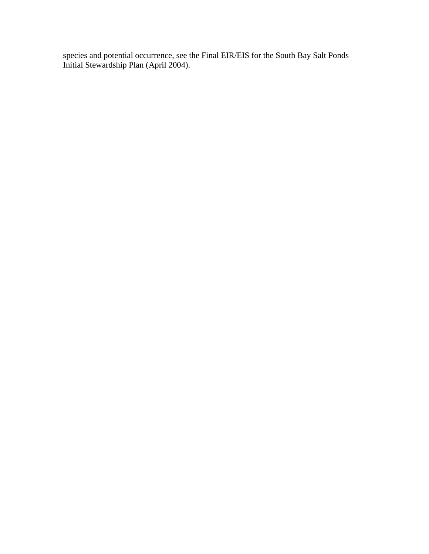species and potential occurrence, see the Final EIR/EIS for the South Bay Salt Ponds Initial Stewardship Plan (April 2004).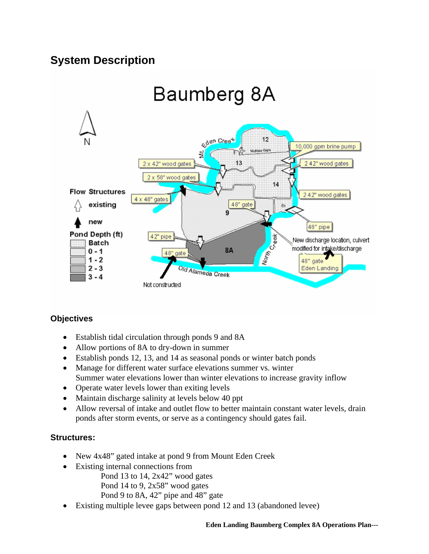# **System Description**



### **Objectives**

- Establish tidal circulation through ponds 9 and 8A
- Allow portions of 8A to dry-down in summer
- Establish ponds 12, 13, and 14 as seasonal ponds or winter batch ponds
- Manage for different water surface elevations summer vs. winter Summer water elevations lower than winter elevations to increase gravity inflow
- Operate water levels lower than exiting levels
- Maintain discharge salinity at levels below 40 ppt
- Allow reversal of intake and outlet flow to better maintain constant water levels, drain ponds after storm events, or serve as a contingency should gates fail.

### **Structures:**

- New 4x48" gated intake at pond 9 from Mount Eden Creek
- Existing internal connections from
	- Pond 13 to 14, 2x42" wood gates Pond 14 to 9, 2x58" wood gates Pond 9 to 8A, 42" pipe and 48" gate
- Existing multiple levee gaps between pond 12 and 13 (abandoned levee)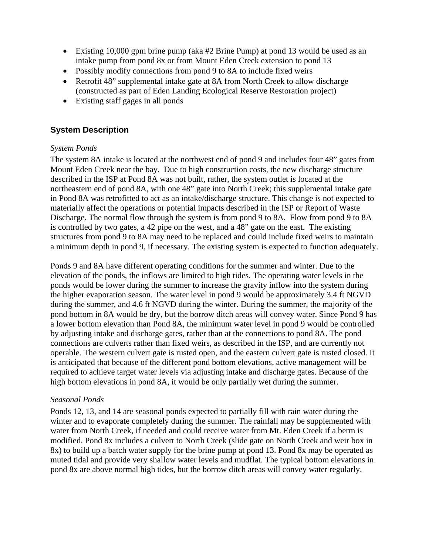- Existing 10,000 gpm brine pump (aka #2 Brine Pump) at pond 13 would be used as an intake pump from pond 8x or from Mount Eden Creek extension to pond 13
- Possibly modify connections from pond 9 to 8A to include fixed weirs
- Retrofit 48" supplemental intake gate at 8A from North Creek to allow discharge (constructed as part of Eden Landing Ecological Reserve Restoration project)
- Existing staff gages in all ponds

### **System Description**

### *System Ponds*

The system 8A intake is located at the northwest end of pond 9 and includes four 48" gates from Mount Eden Creek near the bay. Due to high construction costs, the new discharge structure described in the ISP at Pond 8A was not built, rather, the system outlet is located at the northeastern end of pond 8A, with one 48" gate into North Creek; this supplemental intake gate in Pond 8A was retrofitted to act as an intake/discharge structure. This change is not expected to materially affect the operations or potential impacts described in the ISP or Report of Waste Discharge. The normal flow through the system is from pond 9 to 8A. Flow from pond 9 to 8A is controlled by two gates, a 42 pipe on the west, and a 48" gate on the east. The existing structures from pond 9 to 8A may need to be replaced and could include fixed weirs to maintain a minimum depth in pond 9, if necessary. The existing system is expected to function adequately.

Ponds 9 and 8A have different operating conditions for the summer and winter. Due to the elevation of the ponds, the inflows are limited to high tides. The operating water levels in the ponds would be lower during the summer to increase the gravity inflow into the system during the higher evaporation season. The water level in pond 9 would be approximately 3.4 ft NGVD during the summer, and 4.6 ft NGVD during the winter. During the summer, the majority of the pond bottom in 8A would be dry, but the borrow ditch areas will convey water. Since Pond 9 has a lower bottom elevation than Pond 8A, the minimum water level in pond 9 would be controlled by adjusting intake and discharge gates, rather than at the connections to pond 8A. The pond connections are culverts rather than fixed weirs, as described in the ISP, and are currently not operable. The western culvert gate is rusted open, and the eastern culvert gate is rusted closed. It is anticipated that because of the different pond bottom elevations, active management will be required to achieve target water levels via adjusting intake and discharge gates. Because of the high bottom elevations in pond 8A, it would be only partially wet during the summer.

### *Seasonal Ponds*

Ponds 12, 13, and 14 are seasonal ponds expected to partially fill with rain water during the winter and to evaporate completely during the summer. The rainfall may be supplemented with water from North Creek, if needed and could receive water from Mt. Eden Creek if a berm is modified. Pond 8x includes a culvert to North Creek (slide gate on North Creek and weir box in 8x) to build up a batch water supply for the brine pump at pond 13. Pond 8x may be operated as muted tidal and provide very shallow water levels and mudflat. The typical bottom elevations in pond 8x are above normal high tides, but the borrow ditch areas will convey water regularly.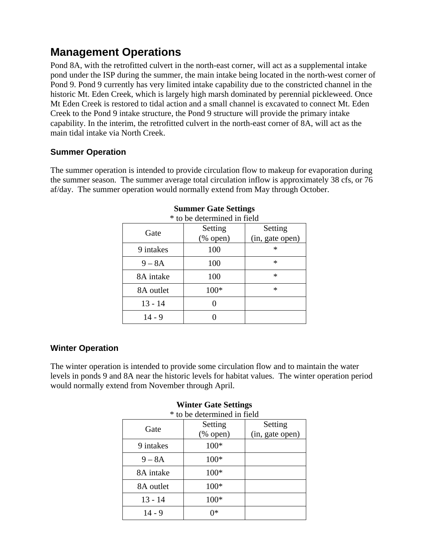# **Management Operations**

Pond 8A, with the retrofitted culvert in the north-east corner, will act as a supplemental intake pond under the ISP during the summer, the main intake being located in the north-west corner of Pond 9. Pond 9 currently has very limited intake capability due to the constricted channel in the historic Mt. Eden Creek, which is largely high marsh dominated by perennial pickleweed. Once Mt Eden Creek is restored to tidal action and a small channel is excavated to connect Mt. Eden Creek to the Pond 9 intake structure, the Pond 9 structure will provide the primary intake capability. In the interim, the retrofitted culvert in the north-east corner of 8A, will act as the main tidal intake via North Creek.

### **Summer Operation**

The summer operation is intended to provide circulation flow to makeup for evaporation during the summer season. The summer average total circulation inflow is approximately 38 cfs, or 76 af/day. The summer operation would normally extend from May through October.

|           | * to be determined in field |                 |
|-----------|-----------------------------|-----------------|
| Gate      | Setting                     | Setting         |
|           | $(% \mathbf{A})$ (% open)   | (in, gate open) |
| 9 intakes | 100                         | $\ast$          |
| $9 - 8A$  | 100                         | $\ast$          |
| 8A intake | 100                         | $\ast$          |
| 8A outlet | 100*                        | *               |
| $13 - 14$ |                             |                 |
| $14 - 9$  |                             |                 |

### **Summer Gate Settings**

### **Winter Operation**

The winter operation is intended to provide some circulation flow and to maintain the water levels in ponds 9 and 8A near the historic levels for habitat values. The winter operation period would normally extend from November through April.

|           | * to be determined in field |                 |
|-----------|-----------------------------|-----------------|
| Gate      | Setting                     | Setting         |
|           | $(\%$ open)                 | (in, gate open) |
| 9 intakes | 100*                        |                 |
| $9 - 8A$  | $100*$                      |                 |
| 8A intake | $100*$                      |                 |
| 8A outlet | 100*                        |                 |
| $13 - 14$ | $100*$                      |                 |
| $14 - 9$  | ∩*                          |                 |

# **Winter Gate Settings**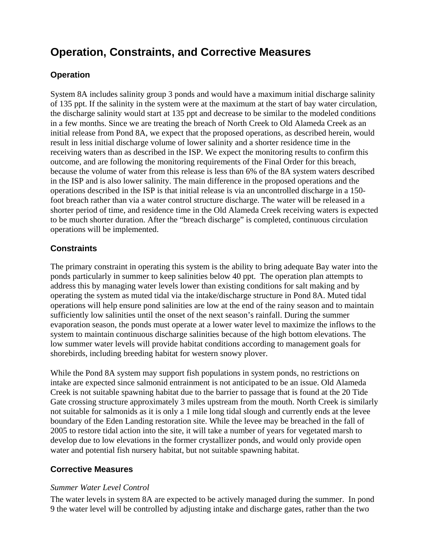# **Operation, Constraints, and Corrective Measures**

### **Operation**

System 8A includes salinity group 3 ponds and would have a maximum initial discharge salinity of 135 ppt. If the salinity in the system were at the maximum at the start of bay water circulation, the discharge salinity would start at 135 ppt and decrease to be similar to the modeled conditions in a few months. Since we are treating the breach of North Creek to Old Alameda Creek as an initial release from Pond 8A, we expect that the proposed operations, as described herein, would result in less initial discharge volume of lower salinity and a shorter residence time in the receiving waters than as described in the ISP. We expect the monitoring results to confirm this outcome, and are following the monitoring requirements of the Final Order for this breach, because the volume of water from this release is less than 6% of the 8A system waters described in the ISP and is also lower salinity. The main difference in the proposed operations and the operations described in the ISP is that initial release is via an uncontrolled discharge in a 150 foot breach rather than via a water control structure discharge. The water will be released in a shorter period of time, and residence time in the Old Alameda Creek receiving waters is expected to be much shorter duration. After the "breach discharge" is completed, continuous circulation operations will be implemented.

### **Constraints**

The primary constraint in operating this system is the ability to bring adequate Bay water into the ponds particularly in summer to keep salinities below 40 ppt. The operation plan attempts to address this by managing water levels lower than existing conditions for salt making and by operating the system as muted tidal via the intake/discharge structure in Pond 8A. Muted tidal operations will help ensure pond salinities are low at the end of the rainy season and to maintain sufficiently low salinities until the onset of the next season's rainfall. During the summer evaporation season, the ponds must operate at a lower water level to maximize the inflows to the system to maintain continuous discharge salinities because of the high bottom elevations. The low summer water levels will provide habitat conditions according to management goals for shorebirds, including breeding habitat for western snowy plover.

While the Pond 8A system may support fish populations in system ponds, no restrictions on intake are expected since salmonid entrainment is not anticipated to be an issue. Old Alameda Creek is not suitable spawning habitat due to the barrier to passage that is found at the 20 Tide Gate crossing structure approximately 3 miles upstream from the mouth. North Creek is similarly not suitable for salmonids as it is only a 1 mile long tidal slough and currently ends at the levee boundary of the Eden Landing restoration site. While the levee may be breached in the fall of 2005 to restore tidal action into the site, it will take a number of years for vegetated marsh to develop due to low elevations in the former crystallizer ponds, and would only provide open water and potential fish nursery habitat, but not suitable spawning habitat.

### **Corrective Measures**

### *Summer Water Level Control*

The water levels in system 8A are expected to be actively managed during the summer. In pond 9 the water level will be controlled by adjusting intake and discharge gates, rather than the two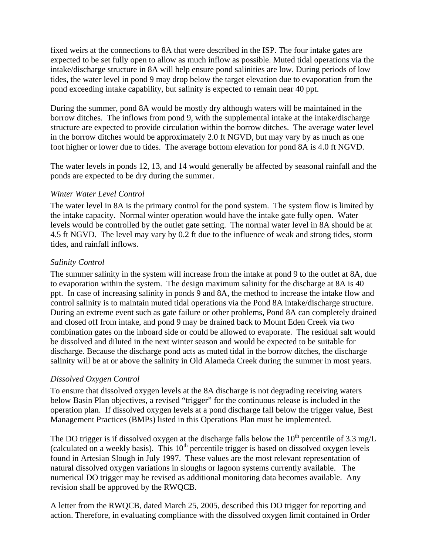fixed weirs at the connections to 8A that were described in the ISP. The four intake gates are expected to be set fully open to allow as much inflow as possible. Muted tidal operations via the intake/discharge structure in 8A will help ensure pond salinities are low. During periods of low tides, the water level in pond 9 may drop below the target elevation due to evaporation from the pond exceeding intake capability, but salinity is expected to remain near 40 ppt.

During the summer, pond 8A would be mostly dry although waters will be maintained in the borrow ditches. The inflows from pond 9, with the supplemental intake at the intake/discharge structure are expected to provide circulation within the borrow ditches. The average water level in the borrow ditches would be approximately 2.0 ft NGVD, but may vary by as much as one foot higher or lower due to tides. The average bottom elevation for pond 8A is 4.0 ft NGVD.

The water levels in ponds 12, 13, and 14 would generally be affected by seasonal rainfall and the ponds are expected to be dry during the summer.

### *Winter Water Level Control*

The water level in 8A is the primary control for the pond system. The system flow is limited by the intake capacity. Normal winter operation would have the intake gate fully open. Water levels would be controlled by the outlet gate setting. The normal water level in 8A should be at 4.5 ft NGVD. The level may vary by 0.2 ft due to the influence of weak and strong tides, storm tides, and rainfall inflows.

### *Salinity Control*

The summer salinity in the system will increase from the intake at pond 9 to the outlet at 8A, due to evaporation within the system. The design maximum salinity for the discharge at 8A is 40 ppt. In case of increasing salinity in ponds 9 and 8A, the method to increase the intake flow and control salinity is to maintain muted tidal operations via the Pond 8A intake/discharge structure. During an extreme event such as gate failure or other problems, Pond 8A can completely drained and closed off from intake, and pond 9 may be drained back to Mount Eden Creek via two combination gates on the inboard side or could be allowed to evaporate. The residual salt would be dissolved and diluted in the next winter season and would be expected to be suitable for discharge. Because the discharge pond acts as muted tidal in the borrow ditches, the discharge salinity will be at or above the salinity in Old Alameda Creek during the summer in most years.

### *Dissolved Oxygen Control*

To ensure that dissolved oxygen levels at the 8A discharge is not degrading receiving waters below Basin Plan objectives, a revised "trigger" for the continuous release is included in the operation plan. If dissolved oxygen levels at a pond discharge fall below the trigger value, Best Management Practices (BMPs) listed in this Operations Plan must be implemented.

The DO trigger is if dissolved oxygen at the discharge falls below the  $10^{th}$  percentile of 3.3 mg/L (calculated on a weekly basis). This  $10<sup>th</sup>$  percentile trigger is based on dissolved oxygen levels found in Artesian Slough in July 1997. These values are the most relevant representation of natural dissolved oxygen variations in sloughs or lagoon systems currently available. The numerical DO trigger may be revised as additional monitoring data becomes available. Any revision shall be approved by the RWQCB.

A letter from the RWQCB, dated March 25, 2005, described this DO trigger for reporting and action. Therefore, in evaluating compliance with the dissolved oxygen limit contained in Order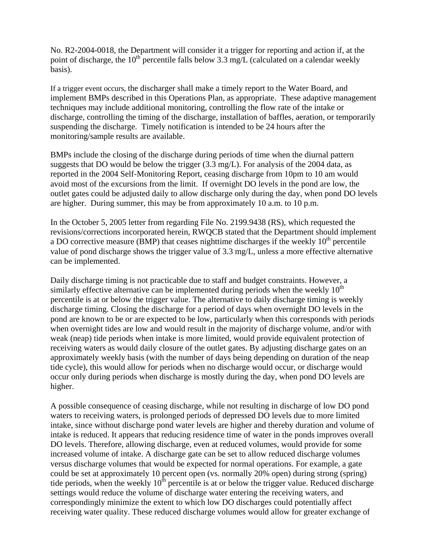No. R2-2004-0018, the Department will consider it a trigger for reporting and action if, at the point of discharge, the 10<sup>th</sup> percentile falls below 3.3 mg/L (calculated on a calendar weekly basis).

If a trigger event occurs, the discharger shall make a timely report to the Water Board, and implement BMPs described in this Operations Plan, as appropriate. These adaptive management techniques may include additional monitoring, controlling the flow rate of the intake or discharge, controlling the timing of the discharge, installation of baffles, aeration, or temporarily suspending the discharge. Timely notification is intended to be 24 hours after the monitoring/sample results are available.

BMPs include the closing of the discharge during periods of time when the diurnal pattern suggests that DO would be below the trigger  $(3.3 \text{ mg/L})$ . For analysis of the 2004 data, as reported in the 2004 Self-Monitoring Report, ceasing discharge from 10pm to 10 am would avoid most of the excursions from the limit. If overnight DO levels in the pond are low, the outlet gates could be adjusted daily to allow discharge only during the day, when pond DO levels are higher. During summer, this may be from approximately 10 a.m. to 10 p.m.

In the October 5, 2005 letter from regarding File No. 2199.9438 (RS), which requested the revisions/corrections incorporated herein, RWQCB stated that the Department should implement a DO corrective measure (BMP) that ceases nighttime discharges if the weekly  $10<sup>th</sup>$  percentile value of pond discharge shows the trigger value of 3.3 mg/L, unless a more effective alternative can be implemented.

Daily discharge timing is not practicable due to staff and budget constraints. However, a similarly effective alternative can be implemented during periods when the weekly  $10<sup>th</sup>$ percentile is at or below the trigger value. The alternative to daily discharge timing is weekly discharge timing. Closing the discharge for a period of days when overnight DO levels in the pond are known to be or are expected to be low, particularly when this corresponds with periods when overnight tides are low and would result in the majority of discharge volume, and/or with weak (neap) tide periods when intake is more limited, would provide equivalent protection of receiving waters as would daily closure of the outlet gates. By adjusting discharge gates on an approximately weekly basis (with the number of days being depending on duration of the neap tide cycle), this would allow for periods when no discharge would occur, or discharge would occur only during periods when discharge is mostly during the day, when pond DO levels are higher.

A possible consequence of ceasing discharge, while not resulting in discharge of low DO pond waters to receiving waters, is prolonged periods of depressed DO levels due to more limited intake, since without discharge pond water levels are higher and thereby duration and volume of intake is reduced. It appears that reducing residence time of water in the ponds improves overall DO levels. Therefore, allowing discharge, even at reduced volumes, would provide for some increased volume of intake. A discharge gate can be set to allow reduced discharge volumes versus discharge volumes that would be expected for normal operations. For example, a gate could be set at approximately 10 percent open (vs. normally 20% open) during strong (spring) tide periods, when the weekly  $10<sup>th</sup>$  percentile is at or below the trigger value. Reduced discharge settings would reduce the volume of discharge water entering the receiving waters, and correspondingly minimize the extent to which low DO discharges could potentially affect receiving water quality. These reduced discharge volumes would allow for greater exchange of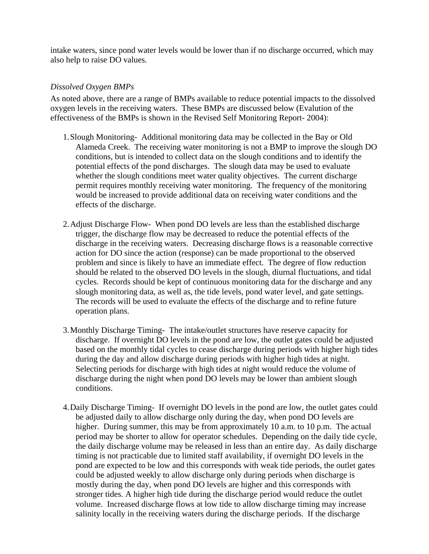intake waters, since pond water levels would be lower than if no discharge occurred, which may also help to raise DO values.

### *Dissolved Oxygen BMPs*

 As noted above, there are a range of BMPs available to reduce potential impacts to the dissolved oxygen levels in the receiving waters. These BMPs are discussed below (Evalution of the effectiveness of the BMPs is shown in the Revised Self Monitoring Report- 2004):

- 1.Slough Monitoring- Additional monitoring data may be collected in the Bay or Old Alameda Creek. The receiving water monitoring is not a BMP to improve the slough DO conditions, but is intended to collect data on the slough conditions and to identify the potential effects of the pond discharges. The slough data may be used to evaluate whether the slough conditions meet water quality objectives. The current discharge permit requires monthly receiving water monitoring. The frequency of the monitoring would be increased to provide additional data on receiving water conditions and the effects of the discharge.
- 2.Adjust Discharge Flow- When pond DO levels are less than the established discharge trigger, the discharge flow may be decreased to reduce the potential effects of the discharge in the receiving waters. Decreasing discharge flows is a reasonable corrective action for DO since the action (response) can be made proportional to the observed problem and since is likely to have an immediate effect. The degree of flow reduction should be related to the observed DO levels in the slough, diurnal fluctuations, and tidal cycles. Records should be kept of continuous monitoring data for the discharge and any slough monitoring data, as well as, the tide levels, pond water level, and gate settings. The records will be used to evaluate the effects of the discharge and to refine future operation plans.
- 3.Monthly Discharge Timing- The intake/outlet structures have reserve capacity for discharge. If overnight DO levels in the pond are low, the outlet gates could be adjusted based on the monthly tidal cycles to cease discharge during periods with higher high tides during the day and allow discharge during periods with higher high tides at night. Selecting periods for discharge with high tides at night would reduce the volume of discharge during the night when pond DO levels may be lower than ambient slough conditions.
- 4.Daily Discharge Timing- If overnight DO levels in the pond are low, the outlet gates could be adjusted daily to allow discharge only during the day, when pond DO levels are higher. During summer, this may be from approximately 10 a.m. to 10 p.m. The actual period may be shorter to allow for operator schedules. Depending on the daily tide cycle, the daily discharge volume may be released in less than an entire day. As daily discharge timing is not practicable due to limited staff availability, if overnight DO levels in the pond are expected to be low and this corresponds with weak tide periods, the outlet gates could be adjusted weekly to allow discharge only during periods when discharge is mostly during the day, when pond DO levels are higher and this corresponds with stronger tides. A higher high tide during the discharge period would reduce the outlet volume. Increased discharge flows at low tide to allow discharge timing may increase salinity locally in the receiving waters during the discharge periods. If the discharge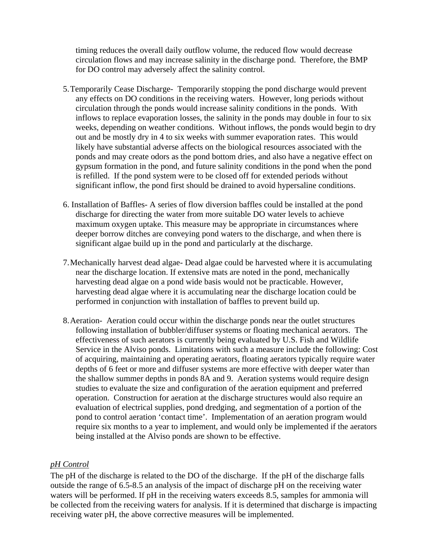timing reduces the overall daily outflow volume, the reduced flow would decrease circulation flows and may increase salinity in the discharge pond. Therefore, the BMP for DO control may adversely affect the salinity control.

- 5.Temporarily Cease Discharge- Temporarily stopping the pond discharge would prevent any effects on DO conditions in the receiving waters. However, long periods without circulation through the ponds would increase salinity conditions in the ponds. With inflows to replace evaporation losses, the salinity in the ponds may double in four to six weeks, depending on weather conditions. Without inflows, the ponds would begin to dry out and be mostly dry in 4 to six weeks with summer evaporation rates. This would likely have substantial adverse affects on the biological resources associated with the ponds and may create odors as the pond bottom dries, and also have a negative effect on gypsum formation in the pond, and future salinity conditions in the pond when the pond is refilled. If the pond system were to be closed off for extended periods without significant inflow, the pond first should be drained to avoid hypersaline conditions.
- 6. Installation of Baffles- A series of flow diversion baffles could be installed at the pond discharge for directing the water from more suitable DO water levels to achieve maximum oxygen uptake. This measure may be appropriate in circumstances where deeper borrow ditches are conveying pond waters to the discharge, and when there is significant algae build up in the pond and particularly at the discharge.
- 7.Mechanically harvest dead algae- Dead algae could be harvested where it is accumulating near the discharge location. If extensive mats are noted in the pond, mechanically harvesting dead algae on a pond wide basis would not be practicable. However, harvesting dead algae where it is accumulating near the discharge location could be performed in conjunction with installation of baffles to prevent build up.
- 8.Aeration- Aeration could occur within the discharge ponds near the outlet structures following installation of bubbler/diffuser systems or floating mechanical aerators. The effectiveness of such aerators is currently being evaluated by U.S. Fish and Wildlife Service in the Alviso ponds. Limitations with such a measure include the following: Cost of acquiring, maintaining and operating aerators, floating aerators typically require water depths of 6 feet or more and diffuser systems are more effective with deeper water than the shallow summer depths in ponds 8A and 9. Aeration systems would require design studies to evaluate the size and configuration of the aeration equipment and preferred operation. Construction for aeration at the discharge structures would also require an evaluation of electrical supplies, pond dredging, and segmentation of a portion of the pond to control aeration 'contact time'. Implementation of an aeration program would require six months to a year to implement, and would only be implemented if the aerators being installed at the Alviso ponds are shown to be effective.

### *pH Control*

The pH of the discharge is related to the DO of the discharge. If the pH of the discharge falls outside the range of 6.5-8.5 an analysis of the impact of discharge pH on the receiving water waters will be performed. If pH in the receiving waters exceeds 8.5, samples for ammonia will be collected from the receiving waters for analysis. If it is determined that discharge is impacting receiving water pH, the above corrective measures will be implemented.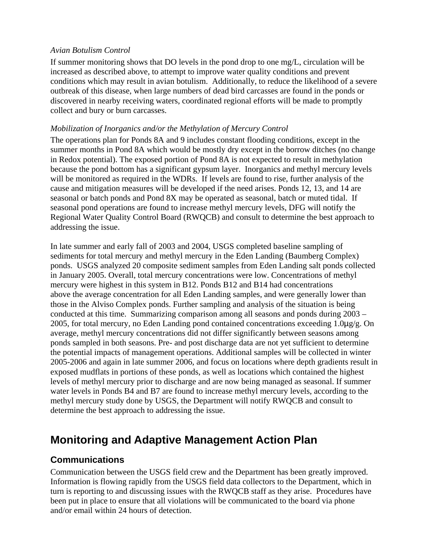### *Avian Botulism Control*

If summer monitoring shows that DO levels in the pond drop to one mg/L, circulation will be increased as described above, to attempt to improve water quality conditions and prevent conditions which may result in avian botulism. Additionally, to reduce the likelihood of a severe outbreak of this disease, when large numbers of dead bird carcasses are found in the ponds or discovered in nearby receiving waters, coordinated regional efforts will be made to promptly collect and bury or burn carcasses.

### *Mobilization of Inorganics and/or the Methylation of Mercury Control*

The operations plan for Ponds 8A and 9 includes constant flooding conditions, except in the summer months in Pond 8A which would be mostly dry except in the borrow ditches (no change in Redox potential). The exposed portion of Pond 8A is not expected to result in methylation because the pond bottom has a significant gypsum layer. Inorganics and methyl mercury levels will be monitored as required in the WDRs. If levels are found to rise, further analysis of the cause and mitigation measures will be developed if the need arises. Ponds 12, 13, and 14 are seasonal or batch ponds and Pond 8X may be operated as seasonal, batch or muted tidal. If seasonal pond operations are found to increase methyl mercury levels, DFG will notify the Regional Water Quality Control Board (RWQCB) and consult to determine the best approach to addressing the issue.

In late summer and early fall of 2003 and 2004, USGS completed baseline sampling of sediments for total mercury and methyl mercury in the Eden Landing (Baumberg Complex) ponds. USGS analyzed 20 composite sediment samples from Eden Landing salt ponds collected in January 2005. Overall, total mercury concentrations were low. Concentrations of methyl mercury were highest in this system in B12. Ponds B12 and B14 had concentrations above the average concentration for all Eden Landing samples, and were generally lower than those in the Alviso Complex ponds. Further sampling and analysis of the situation is being conducted at this time. Summarizing comparison among all seasons and ponds during 2003 – 2005, for total mercury, no Eden Landing pond contained concentrations exceeding 1.0µg/g. On average, methyl mercury concentrations did not differ significantly between seasons among ponds sampled in both seasons. Pre- and post discharge data are not yet sufficient to determine the potential impacts of management operations. Additional samples will be collected in winter 2005-2006 and again in late summer 2006, and focus on locations where depth gradients result in exposed mudflats in portions of these ponds, as well as locations which contained the highest levels of methyl mercury prior to discharge and are now being managed as seasonal. If summer water levels in Ponds B4 and B7 are found to increase methyl mercury levels, according to the methyl mercury study done by USGS, the Department will notify RWQCB and consult to determine the best approach to addressing the issue.

# **Monitoring and Adaptive Management Action Plan**

## **Communications**

Communication between the USGS field crew and the Department has been greatly improved. Information is flowing rapidly from the USGS field data collectors to the Department, which in turn is reporting to and discussing issues with the RWQCB staff as they arise. Procedures have been put in place to ensure that all violations will be communicated to the board via phone and/or email within 24 hours of detection.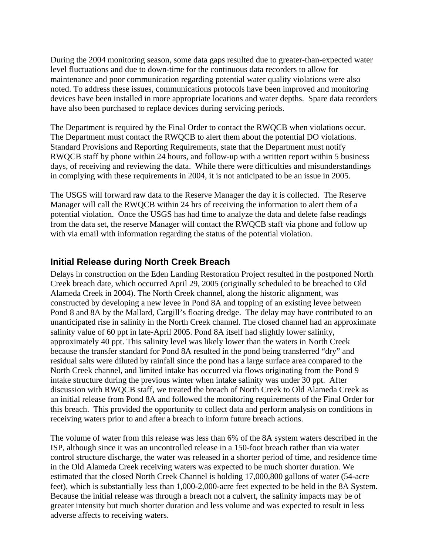During the 2004 monitoring season, some data gaps resulted due to greater-than-expected water level fluctuations and due to down-time for the continuous data recorders to allow for maintenance and poor communication regarding potential water quality violations were also noted. To address these issues, communications protocols have been improved and monitoring devices have been installed in more appropriate locations and water depths. Spare data recorders have also been purchased to replace devices during servicing periods.

The Department is required by the Final Order to contact the RWQCB when violations occur. The Department must contact the RWQCB to alert them about the potential DO violations. Standard Provisions and Reporting Requirements, state that the Department must notify RWQCB staff by phone within 24 hours, and follow-up with a written report within 5 business days, of receiving and reviewing the data. While there were difficulties and misunderstandings in complying with these requirements in 2004, it is not anticipated to be an issue in 2005.

The USGS will forward raw data to the Reserve Manager the day it is collected. The Reserve Manager will call the RWQCB within 24 hrs of receiving the information to alert them of a potential violation. Once the USGS has had time to analyze the data and delete false readings from the data set, the reserve Manager will contact the RWQCB staff via phone and follow up with via email with information regarding the status of the potential violation.

### **Initial Release during North Creek Breach**

Delays in construction on the Eden Landing Restoration Project resulted in the postponed North Creek breach date, which occurred April 29, 2005 (originally scheduled to be breached to Old Alameda Creek in 2004). The North Creek channel, along the historic alignment, was constructed by developing a new levee in Pond 8A and topping of an existing levee between Pond 8 and 8A by the Mallard, Cargill's floating dredge. The delay may have contributed to an unanticipated rise in salinity in the North Creek channel. The closed channel had an approximate salinity value of 60 ppt in late-April 2005. Pond 8A itself had slightly lower salinity, approximately 40 ppt. This salinity level was likely lower than the waters in North Creek because the transfer standard for Pond 8A resulted in the pond being transferred "dry" and residual salts were diluted by rainfall since the pond has a large surface area compared to the North Creek channel, and limited intake has occurred via flows originating from the Pond 9 intake structure during the previous winter when intake salinity was under 30 ppt. After discussion with RWQCB staff, we treated the breach of North Creek to Old Alameda Creek as an initial release from Pond 8A and followed the monitoring requirements of the Final Order for this breach. This provided the opportunity to collect data and perform analysis on conditions in receiving waters prior to and after a breach to inform future breach actions.

The volume of water from this release was less than 6% of the 8A system waters described in the ISP, although since it was an uncontrolled release in a 150-foot breach rather than via water control structure discharge, the water was released in a shorter period of time, and residence time in the Old Alameda Creek receiving waters was expected to be much shorter duration. We estimated that the closed North Creek Channel is holding 17,000,800 gallons of water (54-acre feet), which is substantially less than 1,000-2,000-acre feet expected to be held in the 8A System. Because the initial release was through a breach not a culvert, the salinity impacts may be of greater intensity but much shorter duration and less volume and was expected to result in less adverse affects to receiving waters.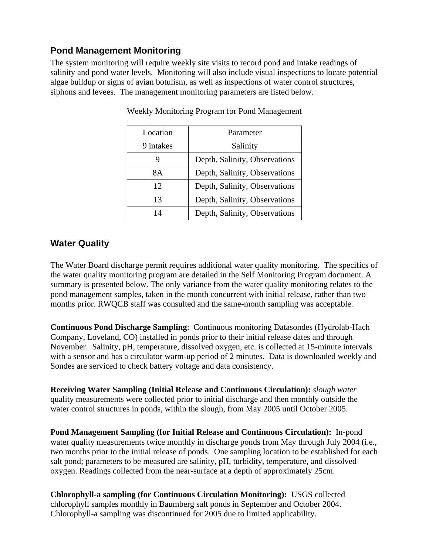# **Pond Management Monitoring**

The system monitoring will require weekly site visits to record pond and intake readings of salinity and pond water levels. Monitoring will also include visual inspections to locate potential algae buildup or signs of avian botulism, as well as inspections of water control structures, siphons and levees. The management monitoring parameters are listed below.

| Location  | Parameter                     |
|-----------|-------------------------------|
| 9 intakes | Salinity                      |
|           | Depth, Salinity, Observations |
| 8А        | Depth, Salinity, Observations |
| 12        | Depth, Salinity, Observations |
| 13        | Depth, Salinity, Observations |
| 14        | Depth, Salinity, Observations |

Weekly Monitoring Program for Pond Management

### **Water Quality**

The Water Board discharge permit requires additional water quality monitoring. The specifics of the water quality monitoring program are detailed in the Self Monitoring Program document. A summary is presented below. The only variance from the water quality monitoring relates to the pond management samples, taken in the month concurrent with initial release, rather than two months prior. RWQCB staff was consulted and the same-month sampling was acceptable.

**Continuous Pond Discharge Sampling**: Continuous monitoring Datasondes (Hydrolab-Hach Company, Loveland, CO) installed in ponds prior to their initial release dates and through November.Salinity, pH, temperature, dissolved oxygen, etc. is collected at 15-minute intervals with a sensor and has a circulator warm-up period of 2 minutes. Data is downloaded weekly and Sondes are serviced to check battery voltage and data consistency.

**Receiving Water Sampling (Initial Release and Continuous Circulation):** *slough water* quality measurements were collected prior to initial discharge and then monthly outside the water control structures in ponds, within the slough, from May 2005 until October 2005.

**Pond Management Sampling (for Initial Release and Continuous Circulation):**In-pond water quality measurements twice monthly in discharge ponds from May through July 2004 (i.e., two months prior to the initial release of ponds. One sampling location to be established for each salt pond; parameters to be measured are salinity, pH, turbidity, temperature, and dissolved oxygen. Readings collected from the near-surface at a depth of approximately 25cm.

**Chlorophyll-a sampling (for Continuous Circulation Monitoring):** USGS collected chlorophyll samples monthly in Baumberg salt ponds in September and October 2004. Chlorophyll-a sampling was discontinued for 2005 due to limited applicability.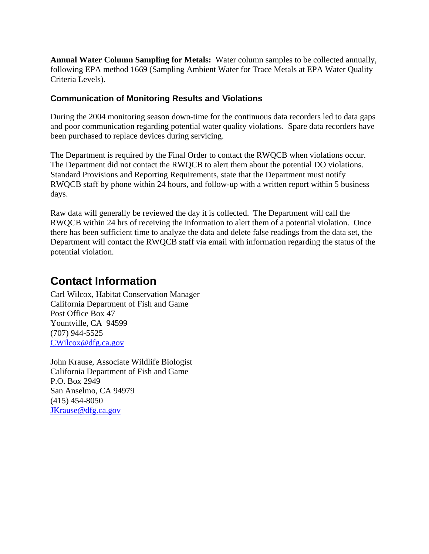**Annual Water Column Sampling for Metals:**Water column samples to be collected annually, following EPA method 1669 (Sampling Ambient Water for Trace Metals at EPA Water Quality Criteria Levels).

### **Communication of Monitoring Results and Violations**

During the 2004 monitoring season down-time for the continuous data recorders led to data gaps and poor communication regarding potential water quality violations. Spare data recorders have been purchased to replace devices during servicing.

The Department is required by the Final Order to contact the RWQCB when violations occur. The Department did not contact the RWQCB to alert them about the potential DO violations. Standard Provisions and Reporting Requirements, state that the Department must notify RWQCB staff by phone within 24 hours, and follow-up with a written report within 5 business days.

Raw data will generally be reviewed the day it is collected. The Department will call the RWQCB within 24 hrs of receiving the information to alert them of a potential violation. Once there has been sufficient time to analyze the data and delete false readings from the data set, the Department will contact the RWQCB staff via email with information regarding the status of the potential violation.

# **Contact Information**

Carl Wilcox, Habitat Conservation Manager California Department of Fish and Game Post Office Box 47 Yountville, CA 94599 (707) 944-5525 CWilcox@dfg.ca.gov

John Krause, Associate Wildlife Biologist California Department of Fish and Game P.O. Box 2949 San Anselmo, CA 94979 (415) 454-8050 JKrause@dfg.ca.gov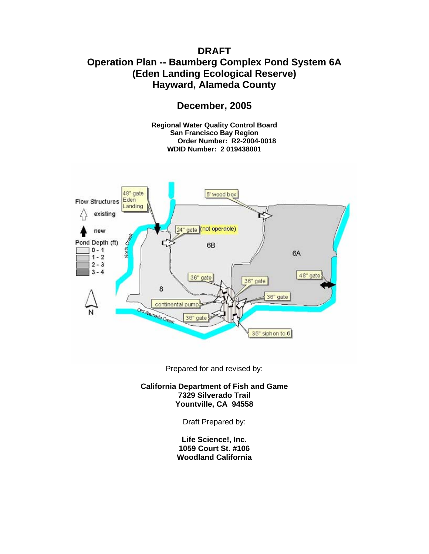# **DRAFT Operation Plan -- Baumberg Complex Pond System 6A (Eden Landing Ecological Reserve) Hayward, Alameda County**

**December, 2005** 

**Regional Water Quality Control Board San Francisco Bay Region Order Number: R2-2004-0018 WDID Number: 2 019438001** 



Prepared for and revised by:

**California Department of Fish and Game 7329 Silverado Trail Yountville, CA 94558** 

Draft Prepared by:

**Life Science!, Inc. 1059 Court St. #106 Woodland California**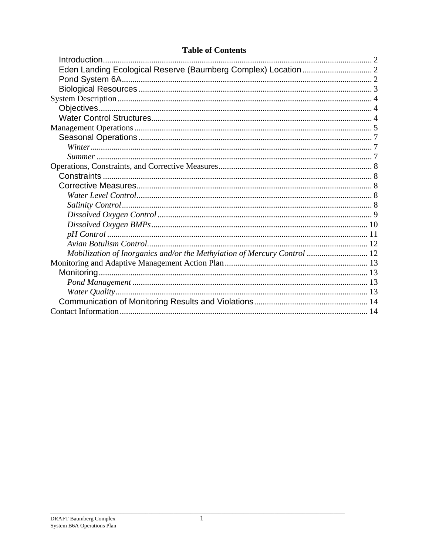| <b>Table of Contents</b> |
|--------------------------|
|--------------------------|

| Mobilization of Inorganics and/or the Methylation of Mercury Control  12 |
|--------------------------------------------------------------------------|
|                                                                          |
|                                                                          |
|                                                                          |
|                                                                          |
|                                                                          |
|                                                                          |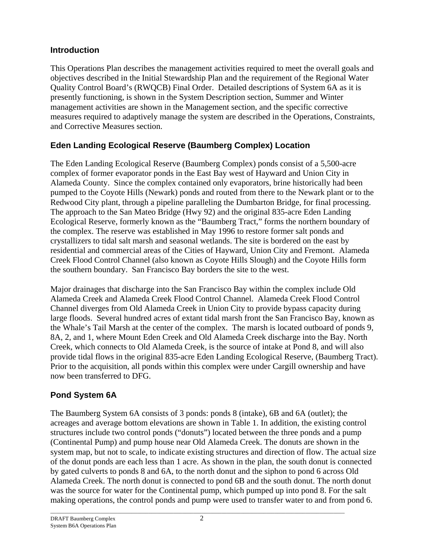## **Introduction**

This Operations Plan describes the management activities required to meet the overall goals and objectives described in the Initial Stewardship Plan and the requirement of the Regional Water Quality Control Board's (RWQCB) Final Order. Detailed descriptions of System 6A as it is presently functioning, is shown in the System Description section, Summer and Winter management activities are shown in the Management section, and the specific corrective measures required to adaptively manage the system are described in the Operations, Constraints, and Corrective Measures section.

# **Eden Landing Ecological Reserve (Baumberg Complex) Location**

The Eden Landing Ecological Reserve (Baumberg Complex) ponds consist of a 5,500-acre complex of former evaporator ponds in the East Bay west of Hayward and Union City in Alameda County. Since the complex contained only evaporators, brine historically had been pumped to the Coyote Hills (Newark) ponds and routed from there to the Newark plant or to the Redwood City plant, through a pipeline paralleling the Dumbarton Bridge, for final processing. The approach to the San Mateo Bridge (Hwy 92) and the original 835-acre Eden Landing Ecological Reserve, formerly known as the "Baumberg Tract," forms the northern boundary of the complex. The reserve was established in May 1996 to restore former salt ponds and crystallizers to tidal salt marsh and seasonal wetlands. The site is bordered on the east by residential and commercial areas of the Cities of Hayward, Union City and Fremont. Alameda Creek Flood Control Channel (also known as Coyote Hills Slough) and the Coyote Hills form the southern boundary. San Francisco Bay borders the site to the west.

Major drainages that discharge into the San Francisco Bay within the complex include Old Alameda Creek and Alameda Creek Flood Control Channel. Alameda Creek Flood Control Channel diverges from Old Alameda Creek in Union City to provide bypass capacity during large floods. Several hundred acres of extant tidal marsh front the San Francisco Bay, known as the Whale's Tail Marsh at the center of the complex. The marsh is located outboard of ponds 9, 8A, 2, and 1, where Mount Eden Creek and Old Alameda Creek discharge into the Bay. North Creek, which connects to Old Alameda Creek, is the source of intake at Pond 8, and will also provide tidal flows in the original 835-acre Eden Landing Ecological Reserve, (Baumberg Tract). Prior to the acquisition, all ponds within this complex were under Cargill ownership and have now been transferred to DFG.

## **Pond System 6A**

The Baumberg System 6A consists of 3 ponds: ponds 8 (intake), 6B and 6A (outlet); the acreages and average bottom elevations are shown in Table 1. In addition, the existing control structures include two control ponds ("donuts") located between the three ponds and a pump (Continental Pump) and pump house near Old Alameda Creek. The donuts are shown in the system map, but not to scale, to indicate existing structures and direction of flow. The actual size of the donut ponds are each less than 1 acre. As shown in the plan, the south donut is connected by gated culverts to ponds 8 and 6A, to the north donut and the siphon to pond 6 across Old Alameda Creek. The north donut is connected to pond 6B and the south donut. The north donut was the source for water for the Continental pump, which pumped up into pond 8. For the salt making operations, the control ponds and pump were used to transfer water to and from pond 6.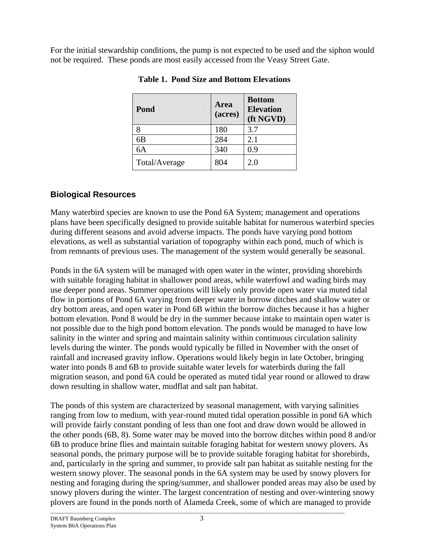For the initial stewardship conditions, the pump is not expected to be used and the siphon would not be required. These ponds are most easily accessed from the Veasy Street Gate.

| Pond          | Area<br>(acres) | <b>Bottom</b><br><b>Elevation</b><br>(ft NGVD) |
|---------------|-----------------|------------------------------------------------|
| 8             | 180             | 3.7                                            |
| 6B            | 284             | 2.1                                            |
| 6A            | 340             | 0.9                                            |
| Total/Average | 804             | 2.0                                            |

**Table 1. Pond Size and Bottom Elevations** 

# **Biological Resources**

Many waterbird species are known to use the Pond 6A System; management and operations plans have been specifically designed to provide suitable habitat for numerous waterbird species during different seasons and avoid adverse impacts. The ponds have varying pond bottom elevations, as well as substantial variation of topography within each pond, much of which is from remnants of previous uses. The management of the system would generally be seasonal.

Ponds in the 6A system will be managed with open water in the winter, providing shorebirds with suitable foraging habitat in shallower pond areas, while waterfowl and wading birds may use deeper pond areas. Summer operations will likely only provide open water via muted tidal flow in portions of Pond 6A varying from deeper water in borrow ditches and shallow water or dry bottom areas, and open water in Pond 6B within the borrow ditches because it has a higher bottom elevation. Pond 8 would be dry in the summer because intake to maintain open water is not possible due to the high pond bottom elevation. The ponds would be managed to have low salinity in the winter and spring and maintain salinity within continuous circulation salinity levels during the winter. The ponds would typically be filled in November with the onset of rainfall and increased gravity inflow. Operations would likely begin in late October, bringing water into ponds 8 and 6B to provide suitable water levels for waterbirds during the fall migration season, and pond 6A could be operated as muted tidal year round or allowed to draw down resulting in shallow water, mudflat and salt pan habitat.

The ponds of this system are characterized by seasonal management, with varying salinities ranging from low to medium, with year-round muted tidal operation possible in pond 6A which will provide fairly constant ponding of less than one foot and draw down would be allowed in the other ponds (6B, 8). Some water may be moved into the borrow ditches within pond 8 and/or 6B to produce brine flies and maintain suitable foraging habitat for western snowy plovers. As seasonal ponds, the primary purpose will be to provide suitable foraging habitat for shorebirds, and, particularly in the spring and summer, to provide salt pan habitat as suitable nesting for the western snowy plover. The seasonal ponds in the 6A system may be used by snowy plovers for nesting and foraging during the spring/summer, and shallower ponded areas may also be used by snowy plovers during the winter. The largest concentration of nesting and over-wintering snowy plovers are found in the ponds north of Alameda Creek, some of which are managed to provide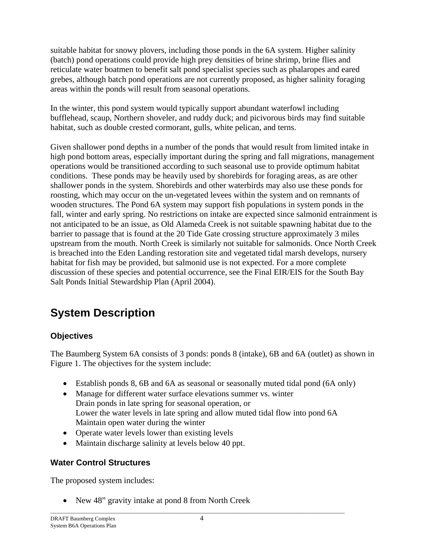suitable habitat for snowy plovers, including those ponds in the 6A system. Higher salinity (batch) pond operations could provide high prey densities of brine shrimp, brine flies and reticulate water boatmen to benefit salt pond specialist species such as phalaropes and eared grebes, although batch pond operations are not currently proposed, as higher salinity foraging areas within the ponds will result from seasonal operations.

In the winter, this pond system would typically support abundant waterfowl including bufflehead, scaup, Northern shoveler, and ruddy duck; and picivorous birds may find suitable habitat, such as double crested cormorant, gulls, white pelican, and terns.

Given shallower pond depths in a number of the ponds that would result from limited intake in high pond bottom areas, especially important during the spring and fall migrations, management operations would be transitioned according to such seasonal use to provide optimum habitat conditions. These ponds may be heavily used by shorebirds for foraging areas, as are other shallower ponds in the system. Shorebirds and other waterbirds may also use these ponds for roosting, which may occur on the un-vegetated levees within the system and on remnants of wooden structures. The Pond 6A system may support fish populations in system ponds in the fall, winter and early spring. No restrictions on intake are expected since salmonid entrainment is not anticipated to be an issue, as Old Alameda Creek is not suitable spawning habitat due to the barrier to passage that is found at the 20 Tide Gate crossing structure approximately 3 miles upstream from the mouth. North Creek is similarly not suitable for salmonids. Once North Creek is breached into the Eden Landing restoration site and vegetated tidal marsh develops, nursery habitat for fish may be provided, but salmonid use is not expected. For a more complete discussion of these species and potential occurrence, see the Final EIR/EIS for the South Bay Salt Ponds Initial Stewardship Plan (April 2004).

# **System Description**

# **Objectives**

The Baumberg System 6A consists of 3 ponds: ponds 8 (intake), 6B and 6A (outlet) as shown in Figure 1. The objectives for the system include:

- Establish ponds 8, 6B and 6A as seasonal or seasonally muted tidal pond (6A only)
- Manage for different water surface elevations summer vs. winter Drain ponds in late spring for seasonal operation, or Lower the water levels in late spring and allow muted tidal flow into pond 6A Maintain open water during the winter
- Operate water levels lower than existing levels
- Maintain discharge salinity at levels below 40 ppt.

## **Water Control Structures**

The proposed system includes:

• New 48" gravity intake at pond 8 from North Creek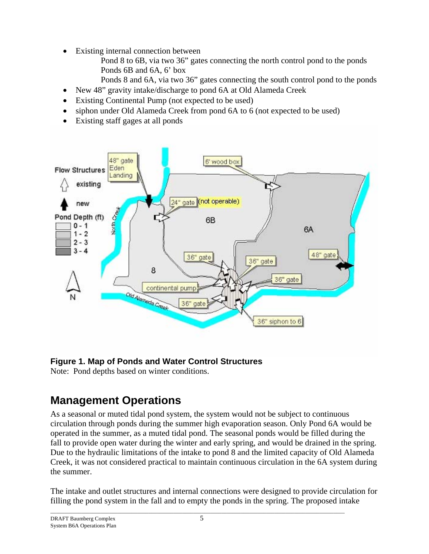- Existing internal connection between
	- Pond 8 to 6B, via two 36" gates connecting the north control pond to the ponds Ponds 6B and 6A, 6' box
	- Ponds 8 and 6A, via two 36" gates connecting the south control pond to the ponds
- New 48" gravity intake/discharge to pond 6A at Old Alameda Creek
- Existing Continental Pump (not expected to be used)
- siphon under Old Alameda Creek from pond 6A to 6 (not expected to be used)
- Existing staff gages at all ponds



# **Figure 1. Map of Ponds and Water Control Structures**

Note: Pond depths based on winter conditions.

# **Management Operations**

As a seasonal or muted tidal pond system, the system would not be subject to continuous circulation through ponds during the summer high evaporation season. Only Pond 6A would be operated in the summer, as a muted tidal pond. The seasonal ponds would be filled during the fall to provide open water during the winter and early spring, and would be drained in the spring. Due to the hydraulic limitations of the intake to pond 8 and the limited capacity of Old Alameda Creek, it was not considered practical to maintain continuous circulation in the 6A system during the summer.

The intake and outlet structures and internal connections were designed to provide circulation for filling the pond system in the fall and to empty the ponds in the spring. The proposed intake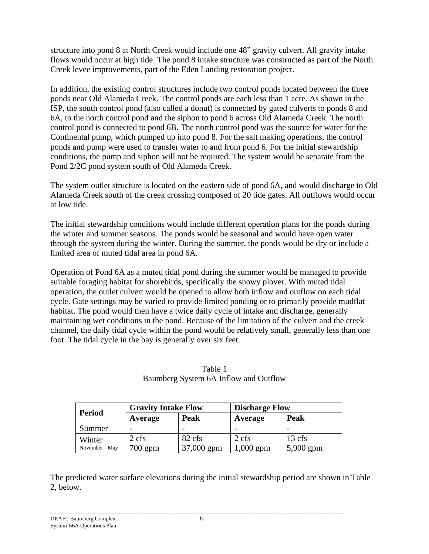structure into pond 8 at North Creek would include one 48" gravity culvert. All gravity intake flows would occur at high tide. The pond 8 intake structure was constructed as part of the North Creek levee improvements, part of the Eden Landing restoration project.

In addition, the existing control structures include two control ponds located between the three ponds near Old Alameda Creek. The control ponds are each less than 1 acre. As shown in the ISP, the south control pond (also called a donut) is connected by gated culverts to ponds 8 and 6A, to the north control pond and the siphon to pond 6 across Old Alameda Creek. The north control pond is connected to pond 6B. The north control pond was the source for water for the Continental pump, which pumped up into pond 8. For the salt making operations, the control ponds and pump were used to transfer water to and from pond 6. For the initial stewardship conditions, the pump and siphon will not be required. The system would be separate from the Pond 2/2C pond system south of Old Alameda Creek.

The system outlet structure is located on the eastern side of pond 6A, and would discharge to Old Alameda Creek south of the creek crossing composed of 20 tide gates. All outflows would occur at low tide.

The initial stewardship conditions would include different operation plans for the ponds during the winter and summer seasons. The ponds would be seasonal and would have open water through the system during the winter. During the summer, the ponds would be dry or include a limited area of muted tidal area in pond 6A.

Operation of Pond 6A as a muted tidal pond during the summer would be managed to provide suitable foraging habitat for shorebirds, specifically the snowy plover. With muted tidal operation, the outlet culvert would be opened to allow both inflow and outflow on each tidal cycle. Gate settings may be varied to provide limited ponding or to primarily provide mudflat habitat. The pond would then have a twice daily cycle of intake and discharge, generally maintaining wet conditions in the pond. Because of the limitation of the culvert and the creek channel, the daily tidal cycle within the pond would be relatively small, generally less than one foot. The tidal cycle in the bay is generally over six feet.

| <b>Period</b>            | <b>Gravity Intake Flow</b> |                      | <b>Discharge Flow</b> |                               |
|--------------------------|----------------------------|----------------------|-----------------------|-------------------------------|
|                          | Average                    | <b>Peak</b>          | Average               | Peak                          |
| Summer                   |                            |                      |                       |                               |
| Winter<br>November - May | $2 \text{ cfs}$<br>700 gpm | 82 cfs<br>37,000 gpm | 2 cfs<br>$1,000$ gpm  | $13 \text{ cfs}$<br>5,900 gpm |

Table 1 Baumberg System 6A Inflow and Outflow

The predicted water surface elevations during the initial stewardship period are shown in Table 2, below.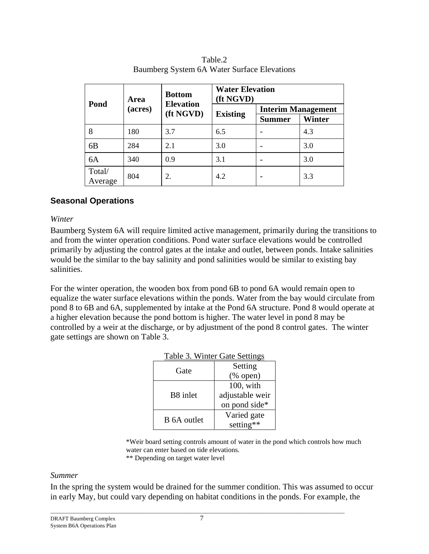| Pond              | <b>Bottom</b><br>Area |                               | <b>Water Elevation</b><br>(ft NGVD) |                           |        |
|-------------------|-----------------------|-------------------------------|-------------------------------------|---------------------------|--------|
|                   | (acres)               | <b>Elevation</b><br>(ft NGVD) | <b>Existing</b>                     | <b>Interim Management</b> |        |
|                   |                       |                               |                                     | <b>Summer</b>             | Winter |
| 8                 | 180                   | 3.7                           | 6.5                                 |                           | 4.3    |
| 6 <sub>B</sub>    | 284                   | 2.1                           | 3.0                                 |                           | 3.0    |
| 6A                | 340                   | 0.9                           | 3.1                                 |                           | 3.0    |
| Total/<br>Average | 804                   | 2.                            | 4.2                                 |                           | 3.3    |

| Table.2                                     |
|---------------------------------------------|
| Baumberg System 6A Water Surface Elevations |

### **Seasonal Operations**

### *Winter*

Baumberg System 6A will require limited active management, primarily during the transitions to and from the winter operation conditions. Pond water surface elevations would be controlled primarily by adjusting the control gates at the intake and outlet, between ponds. Intake salinities would be the similar to the bay salinity and pond salinities would be similar to existing bay salinities.

For the winter operation, the wooden box from pond 6B to pond 6A would remain open to equalize the water surface elevations within the ponds. Water from the bay would circulate from pond 8 to 6B and 6A, supplemented by intake at the Pond 6A structure. Pond 8 would operate at a higher elevation because the pond bottom is higher. The water level in pond 8 may be controlled by a weir at the discharge, or by adjustment of the pond 8 control gates. The winter gate settings are shown on Table 3.

|             | TAUIT J. WHITCH UAIT DUITINGS |
|-------------|-------------------------------|
| Gate        | Setting                       |
|             | $(% \mathbf{A})$ (% open)     |
|             | $100$ , with                  |
| B8 inlet    | adjustable weir               |
|             | on pond side*                 |
| B 6A outlet | Varied gate                   |
|             | setting**                     |

### Table 3. Winter Gate Settings

 \*Weir board setting controls amount of water in the pond which controls how much water can enter based on tide elevations.

#### \*\* Depending on target water level

### *Summer*

In the spring the system would be drained for the summer condition. This was assumed to occur in early May, but could vary depending on habitat conditions in the ponds. For example, the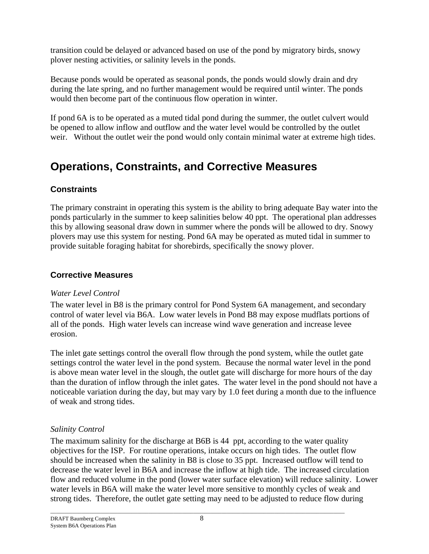transition could be delayed or advanced based on use of the pond by migratory birds, snowy plover nesting activities, or salinity levels in the ponds.

Because ponds would be operated as seasonal ponds, the ponds would slowly drain and dry during the late spring, and no further management would be required until winter. The ponds would then become part of the continuous flow operation in winter.

If pond 6A is to be operated as a muted tidal pond during the summer, the outlet culvert would be opened to allow inflow and outflow and the water level would be controlled by the outlet weir. Without the outlet weir the pond would only contain minimal water at extreme high tides.

# **Operations, Constraints, and Corrective Measures**

# **Constraints**

The primary constraint in operating this system is the ability to bring adequate Bay water into the ponds particularly in the summer to keep salinities below 40 ppt. The operational plan addresses this by allowing seasonal draw down in summer where the ponds will be allowed to dry*.* Snowy plovers may use this system for nesting. Pond 6A may be operated as muted tidal in summer to provide suitable foraging habitat for shorebirds, specifically the snowy plover.

# **Corrective Measures**

## *Water Level Control*

The water level in B8 is the primary control for Pond System 6A management, and secondary control of water level via B6A. Low water levels in Pond B8 may expose mudflats portions of all of the ponds. High water levels can increase wind wave generation and increase levee erosion.

The inlet gate settings control the overall flow through the pond system, while the outlet gate settings control the water level in the pond system. Because the normal water level in the pond is above mean water level in the slough, the outlet gate will discharge for more hours of the day than the duration of inflow through the inlet gates. The water level in the pond should not have a noticeable variation during the day, but may vary by 1.0 feet during a month due to the influence of weak and strong tides.

# *Salinity Control*

The maximum salinity for the discharge at B6B is 44 ppt, according to the water quality objectives for the ISP. For routine operations, intake occurs on high tides. The outlet flow should be increased when the salinity in B8 is close to 35 ppt. Increased outflow will tend to decrease the water level in B6A and increase the inflow at high tide. The increased circulation flow and reduced volume in the pond (lower water surface elevation) will reduce salinity. Lower water levels in B6A will make the water level more sensitive to monthly cycles of weak and strong tides. Therefore, the outlet gate setting may need to be adjusted to reduce flow during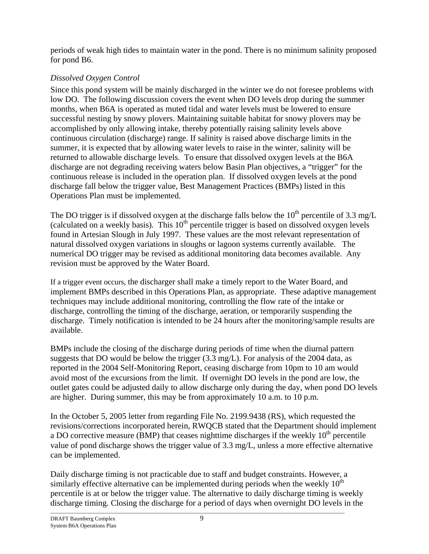periods of weak high tides to maintain water in the pond. There is no minimum salinity proposed for pond B6.

# *Dissolved Oxygen Control*

Since this pond system will be mainly discharged in the winter we do not foresee problems with low DO. The following discussion covers the event when DO levels drop during the summer months, when B6A is operated as muted tidal and water levels must be lowered to ensure successful nesting by snowy plovers. Maintaining suitable habitat for snowy plovers may be accomplished by only allowing intake, thereby potentially raising salinity levels above continuous circulation (discharge) range. If salinity is raised above discharge limits in the summer, it is expected that by allowing water levels to raise in the winter, salinity will be returned to allowable discharge levels. To ensure that dissolved oxygen levels at the B6A discharge are not degrading receiving waters below Basin Plan objectives, a "trigger" for the continuous release is included in the operation plan. If dissolved oxygen levels at the pond discharge fall below the trigger value, Best Management Practices (BMPs) listed in this Operations Plan must be implemented.

The DO trigger is if dissolved oxygen at the discharge falls below the  $10^{th}$  percentile of 3.3 mg/L (calculated on a weekly basis). This 10<sup>th</sup> percentile trigger is based on dissolved oxygen levels found in Artesian Slough in July 1997. These values are the most relevant representation of natural dissolved oxygen variations in sloughs or lagoon systems currently available. The numerical DO trigger may be revised as additional monitoring data becomes available. Any revision must be approved by the Water Board.

If a trigger event occurs, the discharger shall make a timely report to the Water Board, and implement BMPs described in this Operations Plan, as appropriate. These adaptive management techniques may include additional monitoring, controlling the flow rate of the intake or discharge, controlling the timing of the discharge, aeration, or temporarily suspending the discharge. Timely notification is intended to be 24 hours after the monitoring/sample results are available.

BMPs include the closing of the discharge during periods of time when the diurnal pattern suggests that DO would be below the trigger (3.3 mg/L). For analysis of the 2004 data, as reported in the 2004 Self-Monitoring Report, ceasing discharge from 10pm to 10 am would avoid most of the excursions from the limit. If overnight DO levels in the pond are low, the outlet gates could be adjusted daily to allow discharge only during the day, when pond DO levels are higher. During summer, this may be from approximately 10 a.m. to 10 p.m.

In the October 5, 2005 letter from regarding File No. 2199.9438 (RS), which requested the revisions/corrections incorporated herein, RWQCB stated that the Department should implement a DO corrective measure (BMP) that ceases nighttime discharges if the weekly  $10<sup>th</sup>$  percentile value of pond discharge shows the trigger value of 3.3 mg/L, unless a more effective alternative can be implemented.

 $\_$  ,  $\_$  ,  $\_$  ,  $\_$  ,  $\_$  ,  $\_$  ,  $\_$  ,  $\_$  ,  $\_$  ,  $\_$  ,  $\_$  ,  $\_$  ,  $\_$  ,  $\_$  ,  $\_$  ,  $\_$  ,  $\_$  ,  $\_$  ,  $\_$  ,  $\_$  ,  $\_$  ,  $\_$  ,  $\_$  ,  $\_$  ,  $\_$  ,  $\_$  ,  $\_$  ,  $\_$  ,  $\_$  ,  $\_$  ,  $\_$  ,  $\_$  ,  $\_$  ,  $\_$  ,  $\_$  ,  $\_$  ,  $\_$  , Daily discharge timing is not practicable due to staff and budget constraints. However, a similarly effective alternative can be implemented during periods when the weekly  $10<sup>th</sup>$ percentile is at or below the trigger value. The alternative to daily discharge timing is weekly discharge timing. Closing the discharge for a period of days when overnight DO levels in the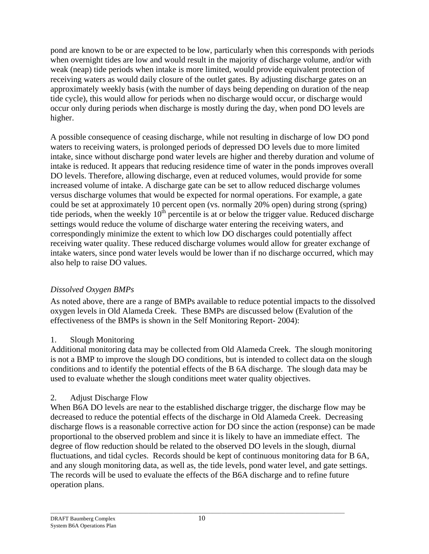pond are known to be or are expected to be low, particularly when this corresponds with periods when overnight tides are low and would result in the majority of discharge volume, and/or with weak (neap) tide periods when intake is more limited, would provide equivalent protection of receiving waters as would daily closure of the outlet gates. By adjusting discharge gates on an approximately weekly basis (with the number of days being depending on duration of the neap tide cycle), this would allow for periods when no discharge would occur, or discharge would occur only during periods when discharge is mostly during the day, when pond DO levels are higher.

A possible consequence of ceasing discharge, while not resulting in discharge of low DO pond waters to receiving waters, is prolonged periods of depressed DO levels due to more limited intake, since without discharge pond water levels are higher and thereby duration and volume of intake is reduced. It appears that reducing residence time of water in the ponds improves overall DO levels. Therefore, allowing discharge, even at reduced volumes, would provide for some increased volume of intake. A discharge gate can be set to allow reduced discharge volumes versus discharge volumes that would be expected for normal operations. For example, a gate could be set at approximately 10 percent open (vs. normally 20% open) during strong (spring) tide periods, when the weekly  $10<sup>th</sup>$  percentile is at or below the trigger value. Reduced discharge settings would reduce the volume of discharge water entering the receiving waters, and correspondingly minimize the extent to which low DO discharges could potentially affect receiving water quality. These reduced discharge volumes would allow for greater exchange of intake waters, since pond water levels would be lower than if no discharge occurred, which may also help to raise DO values.

## *Dissolved Oxygen BMPs*

 As noted above, there are a range of BMPs available to reduce potential impacts to the dissolved oxygen levels in Old Alameda Creek. These BMPs are discussed below (Evalution of the effectiveness of the BMPs is shown in the Self Monitoring Report- 2004):

## 1. Slough Monitoring

Additional monitoring data may be collected from Old Alameda Creek. The slough monitoring is not a BMP to improve the slough DO conditions, but is intended to collect data on the slough conditions and to identify the potential effects of the B 6A discharge. The slough data may be used to evaluate whether the slough conditions meet water quality objectives.

## 2. Adjust Discharge Flow

When B6A DO levels are near to the established discharge trigger, the discharge flow may be decreased to reduce the potential effects of the discharge in Old Alameda Creek. Decreasing discharge flows is a reasonable corrective action for DO since the action (response) can be made proportional to the observed problem and since it is likely to have an immediate effect. The degree of flow reduction should be related to the observed DO levels in the slough, diurnal fluctuations, and tidal cycles. Records should be kept of continuous monitoring data for B 6A, and any slough monitoring data, as well as, the tide levels, pond water level, and gate settings. The records will be used to evaluate the effects of the B6A discharge and to refine future operation plans.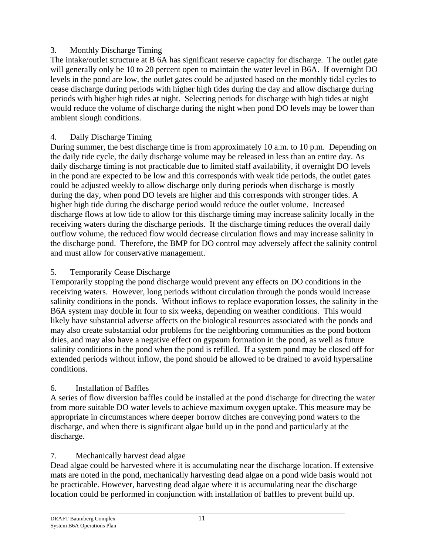### 3. Monthly Discharge Timing

The intake/outlet structure at B 6A has significant reserve capacity for discharge. The outlet gate will generally only be 10 to 20 percent open to maintain the water level in B6A. If overnight DO levels in the pond are low, the outlet gates could be adjusted based on the monthly tidal cycles to cease discharge during periods with higher high tides during the day and allow discharge during periods with higher high tides at night. Selecting periods for discharge with high tides at night would reduce the volume of discharge during the night when pond DO levels may be lower than ambient slough conditions.

### 4. Daily Discharge Timing

During summer, the best discharge time is from approximately 10 a.m. to 10 p.m. Depending on the daily tide cycle, the daily discharge volume may be released in less than an entire day. As daily discharge timing is not practicable due to limited staff availability, if overnight DO levels in the pond are expected to be low and this corresponds with weak tide periods, the outlet gates could be adjusted weekly to allow discharge only during periods when discharge is mostly during the day, when pond DO levels are higher and this corresponds with stronger tides. A higher high tide during the discharge period would reduce the outlet volume. Increased discharge flows at low tide to allow for this discharge timing may increase salinity locally in the receiving waters during the discharge periods. If the discharge timing reduces the overall daily outflow volume, the reduced flow would decrease circulation flows and may increase salinity in the discharge pond. Therefore, the BMP for DO control may adversely affect the salinity control and must allow for conservative management.

### 5. Temporarily Cease Discharge

Temporarily stopping the pond discharge would prevent any effects on DO conditions in the receiving waters. However, long periods without circulation through the ponds would increase salinity conditions in the ponds. Without inflows to replace evaporation losses, the salinity in the B6A system may double in four to six weeks, depending on weather conditions. This would likely have substantial adverse affects on the biological resources associated with the ponds and may also create substantial odor problems for the neighboring communities as the pond bottom dries, and may also have a negative effect on gypsum formation in the pond, as well as future salinity conditions in the pond when the pond is refilled. If a system pond may be closed off for extended periods without inflow, the pond should be allowed to be drained to avoid hypersaline conditions.

## 6. Installation of Baffles

A series of flow diversion baffles could be installed at the pond discharge for directing the water from more suitable DO water levels to achieve maximum oxygen uptake. This measure may be appropriate in circumstances where deeper borrow ditches are conveying pond waters to the discharge, and when there is significant algae build up in the pond and particularly at the discharge.

## 7. Mechanically harvest dead algae

Dead algae could be harvested where it is accumulating near the discharge location. If extensive mats are noted in the pond, mechanically harvesting dead algae on a pond wide basis would not be practicable. However, harvesting dead algae where it is accumulating near the discharge location could be performed in conjunction with installation of baffles to prevent build up.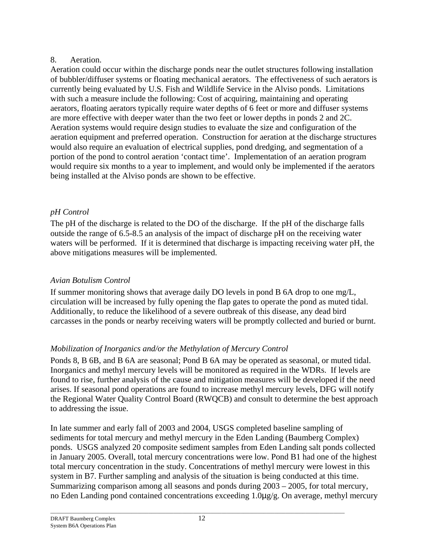### 8. Aeration.

Aeration could occur within the discharge ponds near the outlet structures following installation of bubbler/diffuser systems or floating mechanical aerators. The effectiveness of such aerators is currently being evaluated by U.S. Fish and Wildlife Service in the Alviso ponds. Limitations with such a measure include the following: Cost of acquiring, maintaining and operating aerators, floating aerators typically require water depths of 6 feet or more and diffuser systems are more effective with deeper water than the two feet or lower depths in ponds 2 and 2C. Aeration systems would require design studies to evaluate the size and configuration of the aeration equipment and preferred operation. Construction for aeration at the discharge structures would also require an evaluation of electrical supplies, pond dredging, and segmentation of a portion of the pond to control aeration 'contact time'. Implementation of an aeration program would require six months to a year to implement, and would only be implemented if the aerators being installed at the Alviso ponds are shown to be effective.

## *pH Control*

The pH of the discharge is related to the DO of the discharge. If the pH of the discharge falls outside the range of 6.5-8.5 an analysis of the impact of discharge pH on the receiving water waters will be performed. If it is determined that discharge is impacting receiving water pH, the above mitigations measures will be implemented.

# *Avian Botulism Control*

If summer monitoring shows that average daily DO levels in pond B 6A drop to one mg/L, circulation will be increased by fully opening the flap gates to operate the pond as muted tidal. Additionally, to reduce the likelihood of a severe outbreak of this disease, any dead bird carcasses in the ponds or nearby receiving waters will be promptly collected and buried or burnt.

## *Mobilization of Inorganics and/or the Methylation of Mercury Control*

Ponds 8, B 6B, and B 6A are seasonal; Pond B 6A may be operated as seasonal, or muted tidal. Inorganics and methyl mercury levels will be monitored as required in the WDRs. If levels are found to rise, further analysis of the cause and mitigation measures will be developed if the need arises. If seasonal pond operations are found to increase methyl mercury levels, DFG will notify the Regional Water Quality Control Board (RWQCB) and consult to determine the best approach to addressing the issue.

In late summer and early fall of 2003 and 2004, USGS completed baseline sampling of sediments for total mercury and methyl mercury in the Eden Landing (Baumberg Complex) ponds. USGS analyzed 20 composite sediment samples from Eden Landing salt ponds collected in January 2005. Overall, total mercury concentrations were low. Pond B1 had one of the highest total mercury concentration in the study. Concentrations of methyl mercury were lowest in this system in B7. Further sampling and analysis of the situation is being conducted at this time. Summarizing comparison among all seasons and ponds during 2003 – 2005, for total mercury, no Eden Landing pond contained concentrations exceeding 1.0µg/g. On average, methyl mercury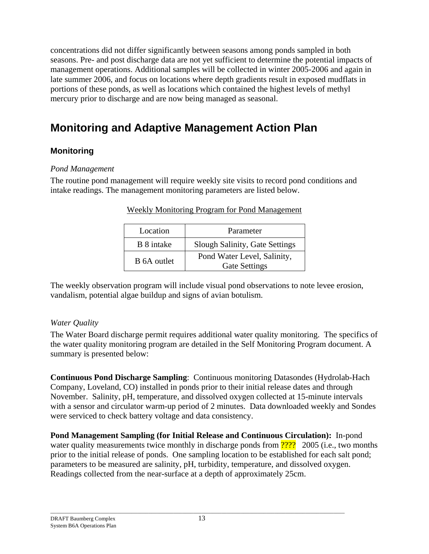concentrations did not differ significantly between seasons among ponds sampled in both seasons. Pre- and post discharge data are not yet sufficient to determine the potential impacts of management operations. Additional samples will be collected in winter 2005-2006 and again in late summer 2006, and focus on locations where depth gradients result in exposed mudflats in portions of these ponds, as well as locations which contained the highest levels of methyl mercury prior to discharge and are now being managed as seasonal.

# **Monitoring and Adaptive Management Action Plan**

### **Monitoring**

### *Pond Management*

The routine pond management will require weekly site visits to record pond conditions and intake readings. The management monitoring parameters are listed below.

| Location    | Parameter                                           |
|-------------|-----------------------------------------------------|
| B 8 intake  | Slough Salinity, Gate Settings                      |
| B 6A outlet | Pond Water Level, Salinity,<br><b>Gate Settings</b> |

### Weekly Monitoring Program for Pond Management

The weekly observation program will include visual pond observations to note levee erosion, vandalism, potential algae buildup and signs of avian botulism.

### *Water Quality*

The Water Board discharge permit requires additional water quality monitoring. The specifics of the water quality monitoring program are detailed in the Self Monitoring Program document. A summary is presented below:

**Continuous Pond Discharge Sampling**: Continuous monitoring Datasondes (Hydrolab-Hach Company, Loveland, CO) installed in ponds prior to their initial release dates and through November.Salinity, pH, temperature, and dissolved oxygen collected at 15-minute intervals with a sensor and circulator warm-up period of 2 minutes. Data downloaded weekly and Sondes were serviced to check battery voltage and data consistency.

**Pond Management Sampling (for Initial Release and Continuous Circulation):**In-pond water quality measurements twice monthly in discharge ponds from **????** 2005 (i.e., two months prior to the initial release of ponds. One sampling location to be established for each salt pond; parameters to be measured are salinity, pH, turbidity, temperature, and dissolved oxygen. Readings collected from the near-surface at a depth of approximately 25cm.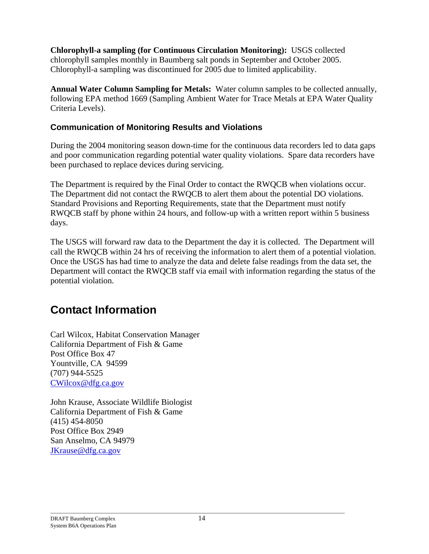**Chlorophyll-a sampling (for Continuous Circulation Monitoring):** USGS collected chlorophyll samples monthly in Baumberg salt ponds in September and October 2005. Chlorophyll-a sampling was discontinued for 2005 due to limited applicability.

**Annual Water Column Sampling for Metals:**Water column samples to be collected annually, following EPA method 1669 (Sampling Ambient Water for Trace Metals at EPA Water Quality Criteria Levels).

## **Communication of Monitoring Results and Violations**

During the 2004 monitoring season down-time for the continuous data recorders led to data gaps and poor communication regarding potential water quality violations. Spare data recorders have been purchased to replace devices during servicing.

The Department is required by the Final Order to contact the RWQCB when violations occur. The Department did not contact the RWQCB to alert them about the potential DO violations. Standard Provisions and Reporting Requirements, state that the Department must notify RWQCB staff by phone within 24 hours, and follow-up with a written report within 5 business days.

The USGS will forward raw data to the Department the day it is collected. The Department will call the RWQCB within 24 hrs of receiving the information to alert them of a potential violation. Once the USGS has had time to analyze the data and delete false readings from the data set, the Department will contact the RWQCB staff via email with information regarding the status of the potential violation.

# **Contact Information**

Carl Wilcox, Habitat Conservation Manager California Department of Fish & Game Post Office Box 47 Yountville, CA 94599 (707) 944-5525 CWilcox@dfg.ca.gov

John Krause, Associate Wildlife Biologist California Department of Fish & Game (415) 454-8050 Post Office Box 2949 San Anselmo, CA 94979 JKrause@dfg.ca.gov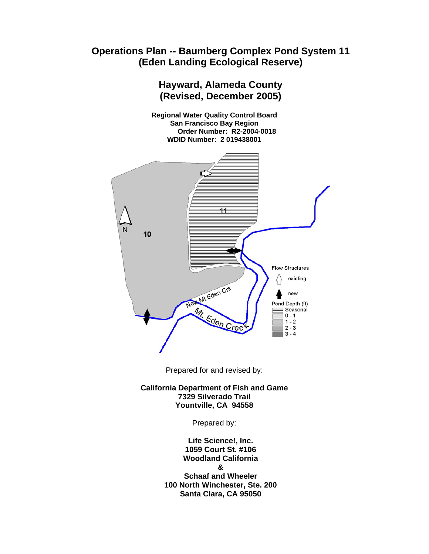# **Operations Plan -- Baumberg Complex Pond System 11 (Eden Landing Ecological Reserve)**

# **Hayward, Alameda County (Revised, December 2005)**

**Regional Water Quality Control Board San Francisco Bay Region Order Number: R2-2004-0018 WDID Number: 2 019438001** 



Prepared for and revised by:

**California Department of Fish and Game 7329 Silverado Trail Yountville, CA 94558** 

Prepared by:

**Life Science!, Inc. 1059 Court St. #106 Woodland California & Schaaf and Wheeler 100 North Winchester, Ste. 200 Santa Clara, CA 95050**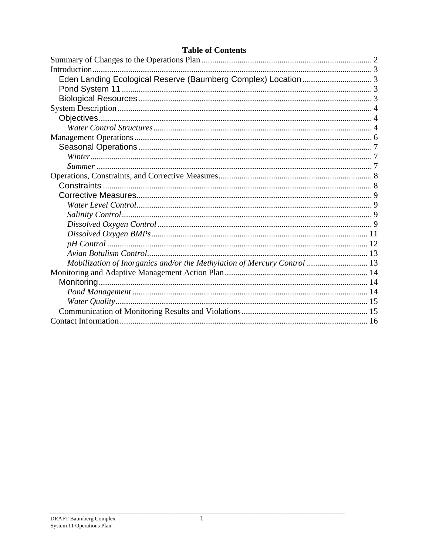|  |  |  | <b>Table of Contents</b> |
|--|--|--|--------------------------|
|--|--|--|--------------------------|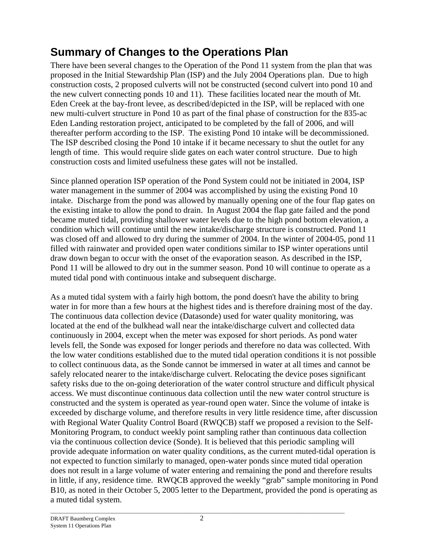# **Summary of Changes to the Operations Plan**

There have been several changes to the Operation of the Pond 11 system from the plan that was proposed in the Initial Stewardship Plan (ISP) and the July 2004 Operations plan. Due to high construction costs, 2 proposed culverts will not be constructed (second culvert into pond 10 and the new culvert connecting ponds 10 and 11). These facilities located near the mouth of Mt. Eden Creek at the bay-front levee, as described/depicted in the ISP, will be replaced with one new multi-culvert structure in Pond 10 as part of the final phase of construction for the 835-ac Eden Landing restoration project, anticipated to be completed by the fall of 2006, and will thereafter perform according to the ISP. The existing Pond 10 intake will be decommissioned. The ISP described closing the Pond 10 intake if it became necessary to shut the outlet for any length of time. This would require slide gates on each water control structure. Due to high construction costs and limited usefulness these gates will not be installed.

Since planned operation ISP operation of the Pond System could not be initiated in 2004, ISP water management in the summer of 2004 was accomplished by using the existing Pond 10 intake. Discharge from the pond was allowed by manually opening one of the four flap gates on the existing intake to allow the pond to drain. In August 2004 the flap gate failed and the pond became muted tidal, providing shallower water levels due to the high pond bottom elevation, a condition which will continue until the new intake/discharge structure is constructed. Pond 11 was closed off and allowed to dry during the summer of 2004. In the winter of 2004-05, pond 11 filled with rainwater and provided open water conditions similar to ISP winter operations until draw down began to occur with the onset of the evaporation season. As described in the ISP, Pond 11 will be allowed to dry out in the summer season. Pond 10 will continue to operate as a muted tidal pond with continuous intake and subsequent discharge.

As a muted tidal system with a fairly high bottom, the pond doesn't have the ability to bring water in for more than a few hours at the highest tides and is therefore draining most of the day. The continuous data collection device (Datasonde) used for water quality monitoring, was located at the end of the bulkhead wall near the intake/discharge culvert and collected data continuously in 2004, except when the meter was exposed for short periods. As pond water levels fell, the Sonde was exposed for longer periods and therefore no data was collected. With the low water conditions established due to the muted tidal operation conditions it is not possible to collect continuous data, as the Sonde cannot be immersed in water at all times and cannot be safely relocated nearer to the intake/discharge culvert. Relocating the device poses significant safety risks due to the on-going deterioration of the water control structure and difficult physical access. We must discontinue continuous data collection until the new water control structure is constructed and the system is operated as year-round open water. Since the volume of intake is exceeded by discharge volume, and therefore results in very little residence time, after discussion with Regional Water Quality Control Board (RWQCB) staff we proposed a revision to the Self-Monitoring Program, to conduct weekly point sampling rather than continuous data collection via the continuous collection device (Sonde). It is believed that this periodic sampling will provide adequate information on water quality conditions, as the current muted-tidal operation is not expected to function similarly to managed, open-water ponds since muted tidal operation does not result in a large volume of water entering and remaining the pond and therefore results in little, if any, residence time. RWQCB approved the weekly "grab" sample monitoring in Pond B10, as noted in their October 5, 2005 letter to the Department, provided the pond is operating as a muted tidal system.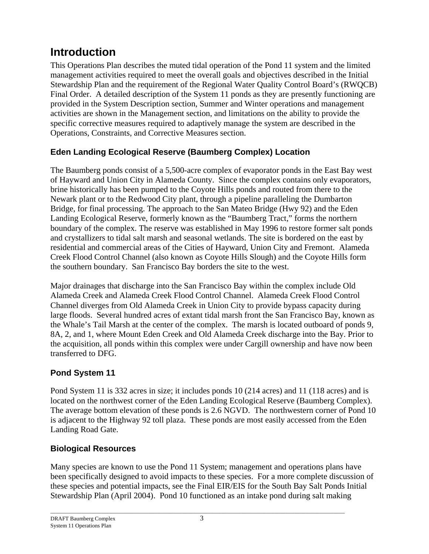# **Introduction**

This Operations Plan describes the muted tidal operation of the Pond 11 system and the limited management activities required to meet the overall goals and objectives described in the Initial Stewardship Plan and the requirement of the Regional Water Quality Control Board's (RWQCB) Final Order. A detailed description of the System 11 ponds as they are presently functioning are provided in the System Description section, Summer and Winter operations and management activities are shown in the Management section, and limitations on the ability to provide the specific corrective measures required to adaptively manage the system are described in the Operations, Constraints, and Corrective Measures section.

# **Eden Landing Ecological Reserve (Baumberg Complex) Location**

The Baumberg ponds consist of a 5,500-acre complex of evaporator ponds in the East Bay west of Hayward and Union City in Alameda County. Since the complex contains only evaporators, brine historically has been pumped to the Coyote Hills ponds and routed from there to the Newark plant or to the Redwood City plant, through a pipeline paralleling the Dumbarton Bridge, for final processing. The approach to the San Mateo Bridge (Hwy 92) and the Eden Landing Ecological Reserve, formerly known as the "Baumberg Tract," forms the northern boundary of the complex. The reserve was established in May 1996 to restore former salt ponds and crystallizers to tidal salt marsh and seasonal wetlands. The site is bordered on the east by residential and commercial areas of the Cities of Hayward, Union City and Fremont. Alameda Creek Flood Control Channel (also known as Coyote Hills Slough) and the Coyote Hills form the southern boundary. San Francisco Bay borders the site to the west.

Major drainages that discharge into the San Francisco Bay within the complex include Old Alameda Creek and Alameda Creek Flood Control Channel. Alameda Creek Flood Control Channel diverges from Old Alameda Creek in Union City to provide bypass capacity during large floods. Several hundred acres of extant tidal marsh front the San Francisco Bay, known as the Whale's Tail Marsh at the center of the complex. The marsh is located outboard of ponds 9, 8A, 2, and 1, where Mount Eden Creek and Old Alameda Creek discharge into the Bay. Prior to the acquisition, all ponds within this complex were under Cargill ownership and have now been transferred to DFG.

# **Pond System 11**

Pond System 11 is 332 acres in size; it includes ponds 10 (214 acres) and 11 (118 acres) and is located on the northwest corner of the Eden Landing Ecological Reserve (Baumberg Complex). The average bottom elevation of these ponds is 2.6 NGVD. The northwestern corner of Pond 10 is adjacent to the Highway 92 toll plaza. These ponds are most easily accessed from the Eden Landing Road Gate.

## **Biological Resources**

Many species are known to use the Pond 11 System; management and operations plans have been specifically designed to avoid impacts to these species. For a more complete discussion of these species and potential impacts, see the Final EIR/EIS for the South Bay Salt Ponds Initial Stewardship Plan (April 2004). Pond 10 functioned as an intake pond during salt making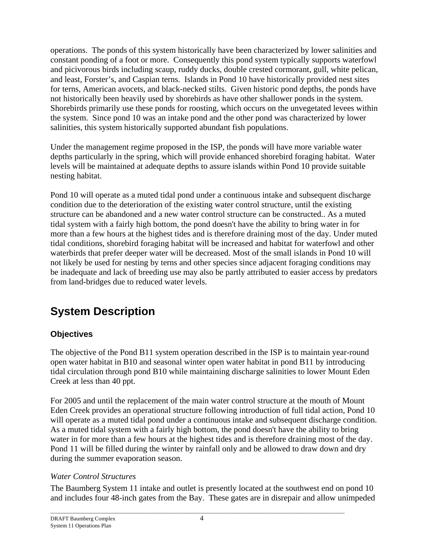operations. The ponds of this system historically have been characterized by lower salinities and constant ponding of a foot or more. Consequently this pond system typically supports waterfowl and picivorous birds including scaup, ruddy ducks, double crested cormorant, gull, white pelican, and least, Forster's, and Caspian terns. Islands in Pond 10 have historically provided nest sites for terns, American avocets, and black-necked stilts. Given historic pond depths, the ponds have not historically been heavily used by shorebirds as have other shallower ponds in the system. Shorebirds primarily use these ponds for roosting, which occurs on the unvegetated levees within the system. Since pond 10 was an intake pond and the other pond was characterized by lower salinities, this system historically supported abundant fish populations.

Under the management regime proposed in the ISP, the ponds will have more variable water depths particularly in the spring, which will provide enhanced shorebird foraging habitat. Water levels will be maintained at adequate depths to assure islands within Pond 10 provide suitable nesting habitat.

Pond 10 will operate as a muted tidal pond under a continuous intake and subsequent discharge condition due to the deterioration of the existing water control structure, until the existing structure can be abandoned and a new water control structure can be constructed.. As a muted tidal system with a fairly high bottom, the pond doesn't have the ability to bring water in for more than a few hours at the highest tides and is therefore draining most of the day. Under muted tidal conditions, shorebird foraging habitat will be increased and habitat for waterfowl and other waterbirds that prefer deeper water will be decreased. Most of the small islands in Pond 10 will not likely be used for nesting by terns and other species since adjacent foraging conditions may be inadequate and lack of breeding use may also be partly attributed to easier access by predators from land-bridges due to reduced water levels.

# **System Description**

# **Objectives**

The objective of the Pond B11 system operation described in the ISP is to maintain year-round open water habitat in B10 and seasonal winter open water habitat in pond B11 by introducing tidal circulation through pond B10 while maintaining discharge salinities to lower Mount Eden Creek at less than 40 ppt.

For 2005 and until the replacement of the main water control structure at the mouth of Mount Eden Creek provides an operational structure following introduction of full tidal action, Pond 10 will operate as a muted tidal pond under a continuous intake and subsequent discharge condition. As a muted tidal system with a fairly high bottom, the pond doesn't have the ability to bring water in for more than a few hours at the highest tides and is therefore draining most of the day. Pond 11 will be filled during the winter by rainfall only and be allowed to draw down and dry during the summer evaporation season.

## *Water Control Structures*

The Baumberg System 11 intake and outlet is presently located at the southwest end on pond 10 and includes four 48-inch gates from the Bay. These gates are in disrepair and allow unimpeded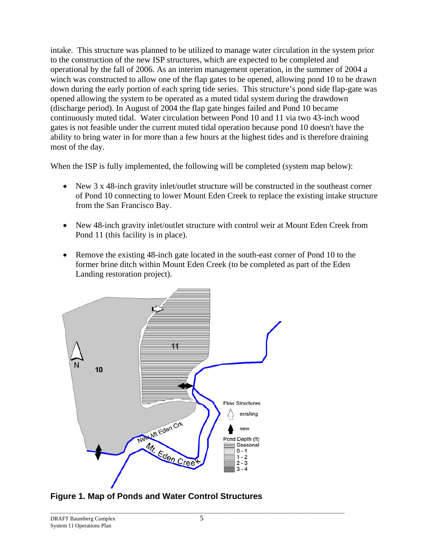intake. This structure was planned to be utilized to manage water circulation in the system prior to the construction of the new ISP structures, which are expected to be completed and operational by the fall of 2006. As an interim management operation, in the summer of 2004 a winch was constructed to allow one of the flap gates to be opened, allowing pond 10 to be drawn down during the early portion of each spring tide series. This structure's pond side flap-gate was opened allowing the system to be operated as a muted tidal system during the drawdown (discharge period). In August of 2004 the flap gate hinges failed and Pond 10 became continuously muted tidal. Water circulation between Pond 10 and 11 via two 43-inch wood gates is not feasible under the current muted tidal operation because pond 10 doesn't have the ability to bring water in for more than a few hours at the highest tides and is therefore draining most of the day.

When the ISP is fully implemented, the following will be completed (system map below):

- New 3 x 48-inch gravity inlet/outlet structure will be constructed in the southeast corner of Pond 10 connecting to lower Mount Eden Creek to replace the existing intake structure from the San Francisco Bay.
- New 48-inch gravity inlet/outlet structure with control weir at Mount Eden Creek from Pond 11 (this facility is in place).
- Remove the existing 48-inch gate located in the south-east corner of Pond 10 to the former brine ditch within Mount Eden Creek (to be completed as part of the Eden Landing restoration project).



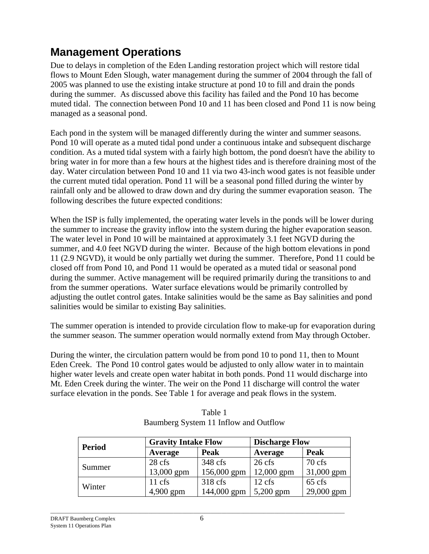# **Management Operations**

Due to delays in completion of the Eden Landing restoration project which will restore tidal flows to Mount Eden Slough, water management during the summer of 2004 through the fall of 2005 was planned to use the existing intake structure at pond 10 to fill and drain the ponds during the summer. As discussed above this facility has failed and the Pond 10 has become muted tidal. The connection between Pond 10 and 11 has been closed and Pond 11 is now being managed as a seasonal pond.

Each pond in the system will be managed differently during the winter and summer seasons. Pond 10 will operate as a muted tidal pond under a continuous intake and subsequent discharge condition. As a muted tidal system with a fairly high bottom, the pond doesn't have the ability to bring water in for more than a few hours at the highest tides and is therefore draining most of the day. Water circulation between Pond 10 and 11 via two 43-inch wood gates is not feasible under the current muted tidal operation. Pond 11 will be a seasonal pond filled during the winter by rainfall only and be allowed to draw down and dry during the summer evaporation season. The following describes the future expected conditions:

When the ISP is fully implemented, the operating water levels in the ponds will be lower during the summer to increase the gravity inflow into the system during the higher evaporation season. The water level in Pond 10 will be maintained at approximately 3.1 feet NGVD during the summer, and 4.0 feet NGVD during the winter. Because of the high bottom elevations in pond 11 (2.9 NGVD), it would be only partially wet during the summer. Therefore, Pond 11 could be closed off from Pond 10, and Pond 11 would be operated as a muted tidal or seasonal pond during the summer. Active management will be required primarily during the transitions to and from the summer operations. Water surface elevations would be primarily controlled by adjusting the outlet control gates. Intake salinities would be the same as Bay salinities and pond salinities would be similar to existing Bay salinities.

The summer operation is intended to provide circulation flow to make-up for evaporation during the summer season. The summer operation would normally extend from May through October.

During the winter, the circulation pattern would be from pond 10 to pond 11, then to Mount Eden Creek. The Pond 10 control gates would be adjusted to only allow water in to maintain higher water levels and create open water habitat in both ponds. Pond 11 would discharge into Mt. Eden Creek during the winter. The weir on the Pond 11 discharge will control the water surface elevation in the ponds. See Table 1 for average and peak flows in the system.

| Period | <b>Gravity Intake Flow</b> |                   | <b>Discharge Flow</b> |                  |
|--------|----------------------------|-------------------|-----------------------|------------------|
|        | Average                    | Peak              | Average               | <b>Peak</b>      |
|        | 28 cfs                     | 348 cfs           | $26$ cfs              | $70 \text{ cfs}$ |
| Summer | $13,000$ gpm               | 156,000 gpm       | 12,000 gpm            | 31,000 gpm       |
|        | $11 \text{ cfs}$           | $318 \text{ cfs}$ | $12 \text{ cfs}$      | $65 \text{ cfs}$ |
| Winter | 4,900 gpm                  | 144,000 gpm       | $5,200$ gpm           | 29,000 gpm       |

| Table 1                               |
|---------------------------------------|
| Baumberg System 11 Inflow and Outflow |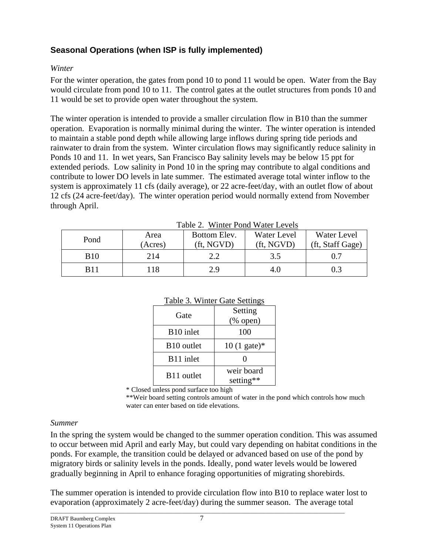# **Seasonal Operations (when ISP is fully implemented)**

### *Winter*

For the winter operation, the gates from pond 10 to pond 11 would be open. Water from the Bay would circulate from pond 10 to 11. The control gates at the outlet structures from ponds 10 and 11 would be set to provide open water throughout the system.

The winter operation is intended to provide a smaller circulation flow in B10 than the summer operation. Evaporation is normally minimal during the winter. The winter operation is intended to maintain a stable pond depth while allowing large inflows during spring tide periods and rainwater to drain from the system. Winter circulation flows may significantly reduce salinity in Ponds 10 and 11. In wet years, San Francisco Bay salinity levels may be below 15 ppt for extended periods. Low salinity in Pond 10 in the spring may contribute to algal conditions and contribute to lower DO levels in late summer. The estimated average total winter inflow to the system is approximately 11 cfs (daily average), or 22 acre-feet/day, with an outlet flow of about 12 cfs (24 acre-feet/day). The winter operation period would normally extend from November through April.

|             | $1401C$ $2.$ WHILE I OIIG WALL LOVES |              |             |                  |  |
|-------------|--------------------------------------|--------------|-------------|------------------|--|
| Pond        | Area                                 | Bottom Elev. | Water Level | Water Level      |  |
|             | (Acres)                              | (ft, NGVD)   | (ft, NGVD)  | (ft, Staff Gage) |  |
| <b>B</b> 10 | 214                                  | っっ           | 3.5         |                  |  |
| B11         | 118                                  | 2.9          | 4.0         | 0.3              |  |

Table 2. Winter Pond Water Levels

| I able 3. Winter Gate Settings |                        |  |  |
|--------------------------------|------------------------|--|--|
| Gate                           | Setting                |  |  |
|                                | (% open)               |  |  |
| B <sub>10</sub> inlet          | 100                    |  |  |
| B <sub>10</sub> outlet         | $10(1 \text{ gate})^*$ |  |  |
| B11 inlet                      | 0                      |  |  |
| B11 outlet                     | weir board             |  |  |
|                                | setting**              |  |  |

### $T<sub>ab</sub>l<sub>2</sub>$  3. Winter  $C<sub>abc</sub>$  Settings

\* Closed unless pond surface too high

\*\*Weir board setting controls amount of water in the pond which controls how much water can enter based on tide elevations.

### *Summer*

In the spring the system would be changed to the summer operation condition. This was assumed to occur between mid April and early May, but could vary depending on habitat conditions in the ponds. For example, the transition could be delayed or advanced based on use of the pond by migratory birds or salinity levels in the ponds. Ideally, pond water levels would be lowered gradually beginning in April to enhance foraging opportunities of migrating shorebirds.

The summer operation is intended to provide circulation flow into B10 to replace water lost to evaporation (approximately 2 acre-feet/day) during the summer season. The average total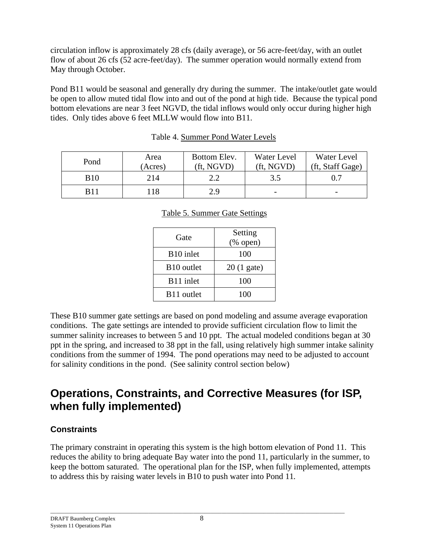circulation inflow is approximately 28 cfs (daily average), or 56 acre-feet/day, with an outlet flow of about 26 cfs (52 acre-feet/day). The summer operation would normally extend from May through October.

Pond B11 would be seasonal and generally dry during the summer. The intake/outlet gate would be open to allow muted tidal flow into and out of the pond at high tide. Because the typical pond bottom elevations are near 3 feet NGVD, the tidal inflows would only occur during higher high tides. Only tides above 6 feet MLLW would flow into B11.

| Pond        | Area<br>(Acres) | Bottom Elev.<br>(ft. NGVD) | Water Level<br>(ft. NGVD) | Water Level<br>(ft, Staff Gage) |
|-------------|-----------------|----------------------------|---------------------------|---------------------------------|
| <b>B</b> 10 | 214             |                            | 3.5                       |                                 |
| B11         | .18             | 2.9                        | -                         | $\overline{\phantom{0}}$        |

| Table 4. Summer Pond Water Levels |
|-----------------------------------|
|-----------------------------------|

|  | <b>Table 5. Summer Gate Settings</b> |  |
|--|--------------------------------------|--|
|  |                                      |  |

| Gate                   | Setting<br>$(% \mathbf{A})$ (% open) |  |  |
|------------------------|--------------------------------------|--|--|
| B <sub>10</sub> inlet  | 100                                  |  |  |
| B <sub>10</sub> outlet | $20(1)$ gate)                        |  |  |
| B11 inlet              | 100                                  |  |  |
| B <sub>11</sub> outlet | 100                                  |  |  |

These B10 summer gate settings are based on pond modeling and assume average evaporation conditions. The gate settings are intended to provide sufficient circulation flow to limit the summer salinity increases to between 5 and 10 ppt. The actual modeled conditions began at 30 ppt in the spring, and increased to 38 ppt in the fall, using relatively high summer intake salinity conditions from the summer of 1994. The pond operations may need to be adjusted to account for salinity conditions in the pond. (See salinity control section below)

# **Operations, Constraints, and Corrective Measures (for ISP, when fully implemented)**

## **Constraints**

The primary constraint in operating this system is the high bottom elevation of Pond 11. This reduces the ability to bring adequate Bay water into the pond 11, particularly in the summer, to keep the bottom saturated. The operational plan for the ISP, when fully implemented, attempts to address this by raising water levels in B10 to push water into Pond 11*.*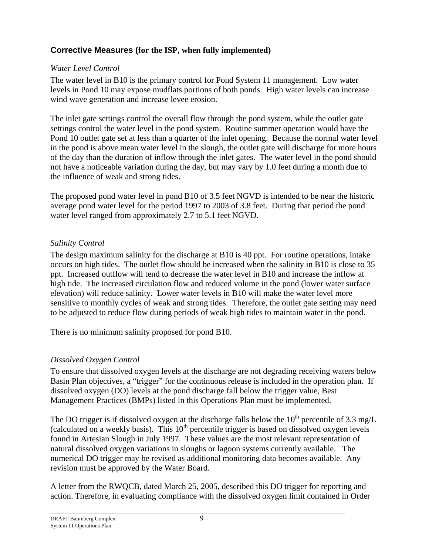# **Corrective Measures (for the ISP, when fully implemented)**

## *Water Level Control*

The water level in B10 is the primary control for Pond System 11 management. Low water levels in Pond 10 may expose mudflats portions of both ponds. High water levels can increase wind wave generation and increase levee erosion.

The inlet gate settings control the overall flow through the pond system, while the outlet gate settings control the water level in the pond system. Routine summer operation would have the Pond 10 outlet gate set at less than a quarter of the inlet opening. Because the normal water level in the pond is above mean water level in the slough, the outlet gate will discharge for more hours of the day than the duration of inflow through the inlet gates. The water level in the pond should not have a noticeable variation during the day, but may vary by 1.0 feet during a month due to the influence of weak and strong tides.

The proposed pond water level in pond B10 of 3.5 feet NGVD is intended to be near the historic average pond water level for the period 1997 to 2003 of 3.8 feet. During that period the pond water level ranged from approximately 2.7 to 5.1 feet NGVD.

## *Salinity Control*

The design maximum salinity for the discharge at B10 is 40 ppt. For routine operations, intake occurs on high tides. The outlet flow should be increased when the salinity in B10 is close to 35 ppt. Increased outflow will tend to decrease the water level in B10 and increase the inflow at high tide. The increased circulation flow and reduced volume in the pond (lower water surface elevation) will reduce salinity. Lower water levels in B10 will make the water level more sensitive to monthly cycles of weak and strong tides. Therefore, the outlet gate setting may need to be adjusted to reduce flow during periods of weak high tides to maintain water in the pond.

There is no minimum salinity proposed for pond B10.

# *Dissolved Oxygen Control*

To ensure that dissolved oxygen levels at the discharge are not degrading receiving waters below Basin Plan objectives, a "trigger" for the continuous release is included in the operation plan. If dissolved oxygen (DO) levels at the pond discharge fall below the trigger value, Best Management Practices (BMPs) listed in this Operations Plan must be implemented.

The DO trigger is if dissolved oxygen at the discharge falls below the  $10^{th}$  percentile of 3.3 mg/L (calculated on a weekly basis). This  $10^{th}$  percentile trigger is based on dissolved oxygen levels found in Artesian Slough in July 1997. These values are the most relevant representation of natural dissolved oxygen variations in sloughs or lagoon systems currently available. The numerical DO trigger may be revised as additional monitoring data becomes available. Any revision must be approved by the Water Board.

A letter from the RWQCB, dated March 25, 2005, described this DO trigger for reporting and action. Therefore, in evaluating compliance with the dissolved oxygen limit contained in Order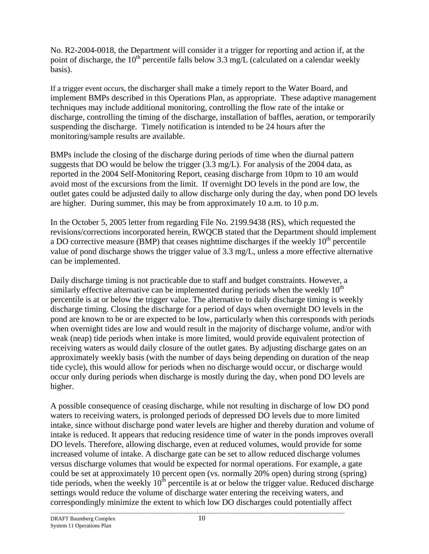No. R2-2004-0018, the Department will consider it a trigger for reporting and action if, at the point of discharge, the 10<sup>th</sup> percentile falls below 3.3 mg/L (calculated on a calendar weekly basis).

If a trigger event occurs, the discharger shall make a timely report to the Water Board, and implement BMPs described in this Operations Plan, as appropriate. These adaptive management techniques may include additional monitoring, controlling the flow rate of the intake or discharge, controlling the timing of the discharge, installation of baffles, aeration, or temporarily suspending the discharge. Timely notification is intended to be 24 hours after the monitoring/sample results are available.

BMPs include the closing of the discharge during periods of time when the diurnal pattern suggests that DO would be below the trigger  $(3.3 \text{ mg/L})$ . For analysis of the 2004 data, as reported in the 2004 Self-Monitoring Report, ceasing discharge from 10pm to 10 am would avoid most of the excursions from the limit. If overnight DO levels in the pond are low, the outlet gates could be adjusted daily to allow discharge only during the day, when pond DO levels are higher. During summer, this may be from approximately 10 a.m. to 10 p.m.

In the October 5, 2005 letter from regarding File No. 2199.9438 (RS), which requested the revisions/corrections incorporated herein, RWQCB stated that the Department should implement a DO corrective measure (BMP) that ceases nighttime discharges if the weekly  $10<sup>th</sup>$  percentile value of pond discharge shows the trigger value of 3.3 mg/L, unless a more effective alternative can be implemented.

Daily discharge timing is not practicable due to staff and budget constraints. However, a similarly effective alternative can be implemented during periods when the weekly  $10<sup>th</sup>$ percentile is at or below the trigger value. The alternative to daily discharge timing is weekly discharge timing. Closing the discharge for a period of days when overnight DO levels in the pond are known to be or are expected to be low, particularly when this corresponds with periods when overnight tides are low and would result in the majority of discharge volume, and/or with weak (neap) tide periods when intake is more limited, would provide equivalent protection of receiving waters as would daily closure of the outlet gates. By adjusting discharge gates on an approximately weekly basis (with the number of days being depending on duration of the neap tide cycle), this would allow for periods when no discharge would occur, or discharge would occur only during periods when discharge is mostly during the day, when pond DO levels are higher.

A possible consequence of ceasing discharge, while not resulting in discharge of low DO pond waters to receiving waters, is prolonged periods of depressed DO levels due to more limited intake, since without discharge pond water levels are higher and thereby duration and volume of intake is reduced. It appears that reducing residence time of water in the ponds improves overall DO levels. Therefore, allowing discharge, even at reduced volumes, would provide for some increased volume of intake. A discharge gate can be set to allow reduced discharge volumes versus discharge volumes that would be expected for normal operations. For example, a gate could be set at approximately 10 percent open (vs. normally 20% open) during strong (spring) tide periods, when the weekly  $10<sup>th</sup>$  percentile is at or below the trigger value. Reduced discharge settings would reduce the volume of discharge water entering the receiving waters, and correspondingly minimize the extent to which low DO discharges could potentially affect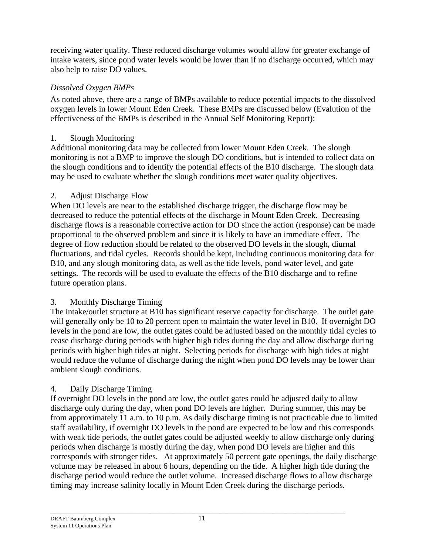receiving water quality. These reduced discharge volumes would allow for greater exchange of intake waters, since pond water levels would be lower than if no discharge occurred, which may also help to raise DO values.

## *Dissolved Oxygen BMPs*

 As noted above, there are a range of BMPs available to reduce potential impacts to the dissolved oxygen levels in lower Mount Eden Creek. These BMPs are discussed below (Evalution of the effectiveness of the BMPs is described in the Annual Self Monitoring Report):

# 1. Slough Monitoring

Additional monitoring data may be collected from lower Mount Eden Creek. The slough monitoring is not a BMP to improve the slough DO conditions, but is intended to collect data on the slough conditions and to identify the potential effects of the B10 discharge. The slough data may be used to evaluate whether the slough conditions meet water quality objectives.

# 2. Adjust Discharge Flow

When DO levels are near to the established discharge trigger, the discharge flow may be decreased to reduce the potential effects of the discharge in Mount Eden Creek. Decreasing discharge flows is a reasonable corrective action for DO since the action (response) can be made proportional to the observed problem and since it is likely to have an immediate effect. The degree of flow reduction should be related to the observed DO levels in the slough, diurnal fluctuations, and tidal cycles. Records should be kept, including continuous monitoring data for B10, and any slough monitoring data, as well as the tide levels, pond water level, and gate settings. The records will be used to evaluate the effects of the B10 discharge and to refine future operation plans.

# 3. Monthly Discharge Timing

The intake/outlet structure at B10 has significant reserve capacity for discharge. The outlet gate will generally only be 10 to 20 percent open to maintain the water level in B10. If overnight DO levels in the pond are low, the outlet gates could be adjusted based on the monthly tidal cycles to cease discharge during periods with higher high tides during the day and allow discharge during periods with higher high tides at night. Selecting periods for discharge with high tides at night would reduce the volume of discharge during the night when pond DO levels may be lower than ambient slough conditions.

# 4. Daily Discharge Timing

If overnight DO levels in the pond are low, the outlet gates could be adjusted daily to allow discharge only during the day, when pond DO levels are higher. During summer, this may be from approximately 11 a.m. to 10 p.m. As daily discharge timing is not practicable due to limited staff availability, if overnight DO levels in the pond are expected to be low and this corresponds with weak tide periods, the outlet gates could be adjusted weekly to allow discharge only during periods when discharge is mostly during the day, when pond DO levels are higher and this corresponds with stronger tides. At approximately 50 percent gate openings, the daily discharge volume may be released in about 6 hours, depending on the tide. A higher high tide during the discharge period would reduce the outlet volume. Increased discharge flows to allow discharge timing may increase salinity locally in Mount Eden Creek during the discharge periods.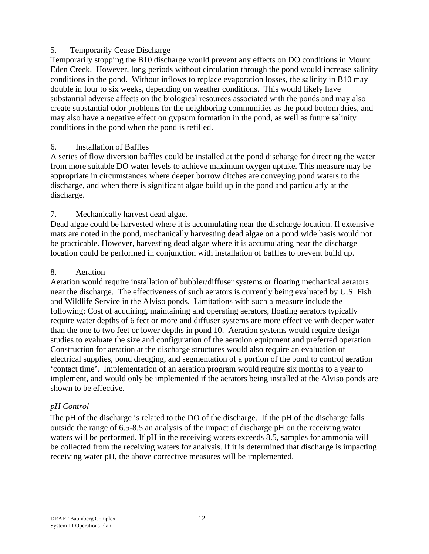### 5. Temporarily Cease Discharge

Temporarily stopping the B10 discharge would prevent any effects on DO conditions in Mount Eden Creek. However, long periods without circulation through the pond would increase salinity conditions in the pond. Without inflows to replace evaporation losses, the salinity in B10 may double in four to six weeks, depending on weather conditions. This would likely have substantial adverse affects on the biological resources associated with the ponds and may also create substantial odor problems for the neighboring communities as the pond bottom dries, and may also have a negative effect on gypsum formation in the pond, as well as future salinity conditions in the pond when the pond is refilled.

### 6. Installation of Baffles

A series of flow diversion baffles could be installed at the pond discharge for directing the water from more suitable DO water levels to achieve maximum oxygen uptake. This measure may be appropriate in circumstances where deeper borrow ditches are conveying pond waters to the discharge, and when there is significant algae build up in the pond and particularly at the discharge.

## 7. Mechanically harvest dead algae.

Dead algae could be harvested where it is accumulating near the discharge location. If extensive mats are noted in the pond, mechanically harvesting dead algae on a pond wide basis would not be practicable. However, harvesting dead algae where it is accumulating near the discharge location could be performed in conjunction with installation of baffles to prevent build up.

### 8. Aeration

Aeration would require installation of bubbler/diffuser systems or floating mechanical aerators near the discharge. The effectiveness of such aerators is currently being evaluated by U.S. Fish and Wildlife Service in the Alviso ponds. Limitations with such a measure include the following: Cost of acquiring, maintaining and operating aerators, floating aerators typically require water depths of 6 feet or more and diffuser systems are more effective with deeper water than the one to two feet or lower depths in pond 10. Aeration systems would require design studies to evaluate the size and configuration of the aeration equipment and preferred operation. Construction for aeration at the discharge structures would also require an evaluation of electrical supplies, pond dredging, and segmentation of a portion of the pond to control aeration 'contact time'. Implementation of an aeration program would require six months to a year to implement, and would only be implemented if the aerators being installed at the Alviso ponds are shown to be effective.

## *pH Control*

The pH of the discharge is related to the DO of the discharge. If the pH of the discharge falls outside the range of 6.5-8.5 an analysis of the impact of discharge pH on the receiving water waters will be performed. If pH in the receiving waters exceeds 8.5, samples for ammonia will be collected from the receiving waters for analysis. If it is determined that discharge is impacting receiving water pH, the above corrective measures will be implemented.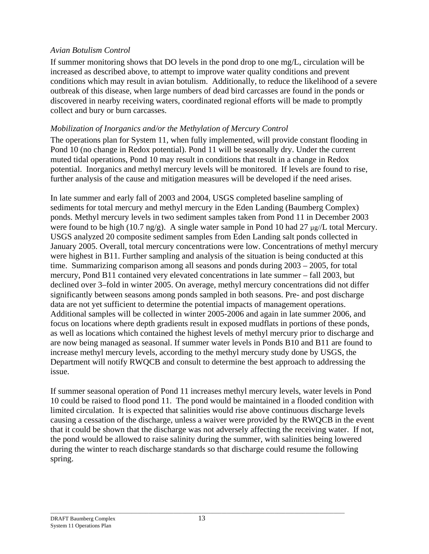### *Avian Botulism Control*

If summer monitoring shows that DO levels in the pond drop to one mg/L, circulation will be increased as described above, to attempt to improve water quality conditions and prevent conditions which may result in avian botulism. Additionally, to reduce the likelihood of a severe outbreak of this disease, when large numbers of dead bird carcasses are found in the ponds or discovered in nearby receiving waters, coordinated regional efforts will be made to promptly collect and bury or burn carcasses.

### *Mobilization of Inorganics and/or the Methylation of Mercury Control*

The operations plan for System 11, when fully implemented, will provide constant flooding in Pond 10 (no change in Redox potential). Pond 11 will be seasonally dry. Under the current muted tidal operations, Pond 10 may result in conditions that result in a change in Redox potential. Inorganics and methyl mercury levels will be monitored. If levels are found to rise, further analysis of the cause and mitigation measures will be developed if the need arises.

In late summer and early fall of 2003 and 2004, USGS completed baseline sampling of sediments for total mercury and methyl mercury in the Eden Landing (Baumberg Complex) ponds. Methyl mercury levels in two sediment samples taken from Pond 11 in December 2003 were found to be high (10.7 ng/g). A single water sample in Pond 10 had 27  $\mu$ g/L total Mercury. USGS analyzed 20 composite sediment samples from Eden Landing salt ponds collected in January 2005. Overall, total mercury concentrations were low. Concentrations of methyl mercury were highest in B11. Further sampling and analysis of the situation is being conducted at this time. Summarizing comparison among all seasons and ponds during 2003 – 2005, for total mercury, Pond B11 contained very elevated concentrations in late summer – fall 2003, but declined over 3–fold in winter 2005. On average, methyl mercury concentrations did not differ significantly between seasons among ponds sampled in both seasons. Pre- and post discharge data are not yet sufficient to determine the potential impacts of management operations. Additional samples will be collected in winter 2005-2006 and again in late summer 2006, and focus on locations where depth gradients result in exposed mudflats in portions of these ponds, as well as locations which contained the highest levels of methyl mercury prior to discharge and are now being managed as seasonal. If summer water levels in Ponds B10 and B11 are found to increase methyl mercury levels, according to the methyl mercury study done by USGS, the Department will notify RWQCB and consult to determine the best approach to addressing the issue.

If summer seasonal operation of Pond 11 increases methyl mercury levels, water levels in Pond 10 could be raised to flood pond 11. The pond would be maintained in a flooded condition with limited circulation. It is expected that salinities would rise above continuous discharge levels causing a cessation of the discharge, unless a waiver were provided by the RWQCB in the event that it could be shown that the discharge was not adversely affecting the receiving water. If not, the pond would be allowed to raise salinity during the summer, with salinities being lowered during the winter to reach discharge standards so that discharge could resume the following spring.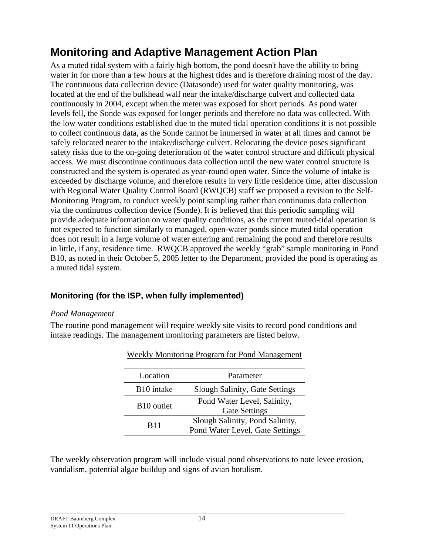# **Monitoring and Adaptive Management Action Plan**

As a muted tidal system with a fairly high bottom, the pond doesn't have the ability to bring water in for more than a few hours at the highest tides and is therefore draining most of the day. The continuous data collection device (Datasonde) used for water quality monitoring, was located at the end of the bulkhead wall near the intake/discharge culvert and collected data continuously in 2004, except when the meter was exposed for short periods. As pond water levels fell, the Sonde was exposed for longer periods and therefore no data was collected. With the low water conditions established due to the muted tidal operation conditions it is not possible to collect continuous data, as the Sonde cannot be immersed in water at all times and cannot be safely relocated nearer to the intake/discharge culvert. Relocating the device poses significant safety risks due to the on-going deterioration of the water control structure and difficult physical access. We must discontinue continuous data collection until the new water control structure is constructed and the system is operated as year-round open water. Since the volume of intake is exceeded by discharge volume, and therefore results in very little residence time, after discussion with Regional Water Quality Control Board (RWQCB) staff we proposed a revision to the Self-Monitoring Program, to conduct weekly point sampling rather than continuous data collection via the continuous collection device (Sonde). It is believed that this periodic sampling will provide adequate information on water quality conditions, as the current muted-tidal operation is not expected to function similarly to managed, open-water ponds since muted tidal operation does not result in a large volume of water entering and remaining the pond and therefore results in little, if any, residence time. RWQCB approved the weekly "grab" sample monitoring in Pond B10, as noted in their October 5, 2005 letter to the Department, provided the pond is operating as a muted tidal system.

## **Monitoring (for the ISP, when fully implemented)**

### *Pond Management*

The routine pond management will require weekly site visits to record pond conditions and intake readings. The management monitoring parameters are listed below.

| Location               | Parameter                                                          |  |  |
|------------------------|--------------------------------------------------------------------|--|--|
| B <sub>10</sub> intake | Slough Salinity, Gate Settings                                     |  |  |
| B <sub>10</sub> outlet | Pond Water Level, Salinity,<br><b>Gate Settings</b>                |  |  |
| <b>B11</b>             | Slough Salinity, Pond Salinity,<br>Pond Water Level, Gate Settings |  |  |

|  |  | Weekly Monitoring Program for Pond Management |
|--|--|-----------------------------------------------|
|  |  |                                               |

The weekly observation program will include visual pond observations to note levee erosion, vandalism, potential algae buildup and signs of avian botulism.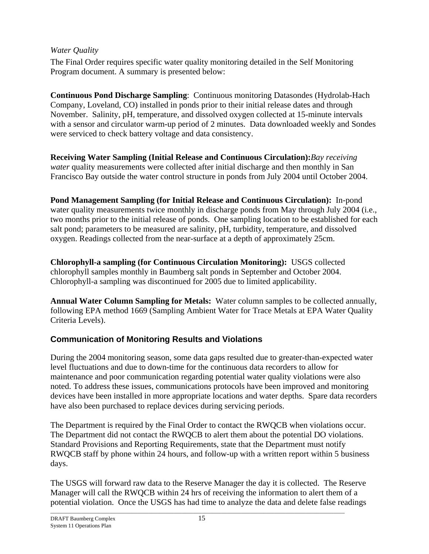### *Water Quality*

The Final Order requires specific water quality monitoring detailed in the Self Monitoring Program document. A summary is presented below:

**Continuous Pond Discharge Sampling**: Continuous monitoring Datasondes (Hydrolab-Hach Company, Loveland, CO) installed in ponds prior to their initial release dates and through November.Salinity, pH, temperature, and dissolved oxygen collected at 15-minute intervals with a sensor and circulator warm-up period of 2 minutes. Data downloaded weekly and Sondes were serviced to check battery voltage and data consistency.

**Receiving Water Sampling (Initial Release and Continuous Circulation):***Bay receiving water* quality measurements were collected after initial discharge and then monthly in San Francisco Bay outside the water control structure in ponds from July 2004 until October 2004.

**Pond Management Sampling (for Initial Release and Continuous Circulation):**In-pond water quality measurements twice monthly in discharge ponds from May through July 2004 (i.e., two months prior to the initial release of ponds. One sampling location to be established for each salt pond; parameters to be measured are salinity, pH, turbidity, temperature, and dissolved oxygen. Readings collected from the near-surface at a depth of approximately 25cm.

**Chlorophyll-a sampling (for Continuous Circulation Monitoring):** USGS collected chlorophyll samples monthly in Baumberg salt ponds in September and October 2004. Chlorophyll-a sampling was discontinued for 2005 due to limited applicability.

**Annual Water Column Sampling for Metals:**Water column samples to be collected annually, following EPA method 1669 (Sampling Ambient Water for Trace Metals at EPA Water Quality Criteria Levels).

# **Communication of Monitoring Results and Violations**

During the 2004 monitoring season, some data gaps resulted due to greater-than-expected water level fluctuations and due to down-time for the continuous data recorders to allow for maintenance and poor communication regarding potential water quality violations were also noted. To address these issues, communications protocols have been improved and monitoring devices have been installed in more appropriate locations and water depths. Spare data recorders have also been purchased to replace devices during servicing periods.

The Department is required by the Final Order to contact the RWQCB when violations occur. The Department did not contact the RWQCB to alert them about the potential DO violations. Standard Provisions and Reporting Requirements, state that the Department must notify RWQCB staff by phone within 24 hours, and follow-up with a written report within 5 business days.

The USGS will forward raw data to the Reserve Manager the day it is collected. The Reserve Manager will call the RWQCB within 24 hrs of receiving the information to alert them of a potential violation. Once the USGS has had time to analyze the data and delete false readings